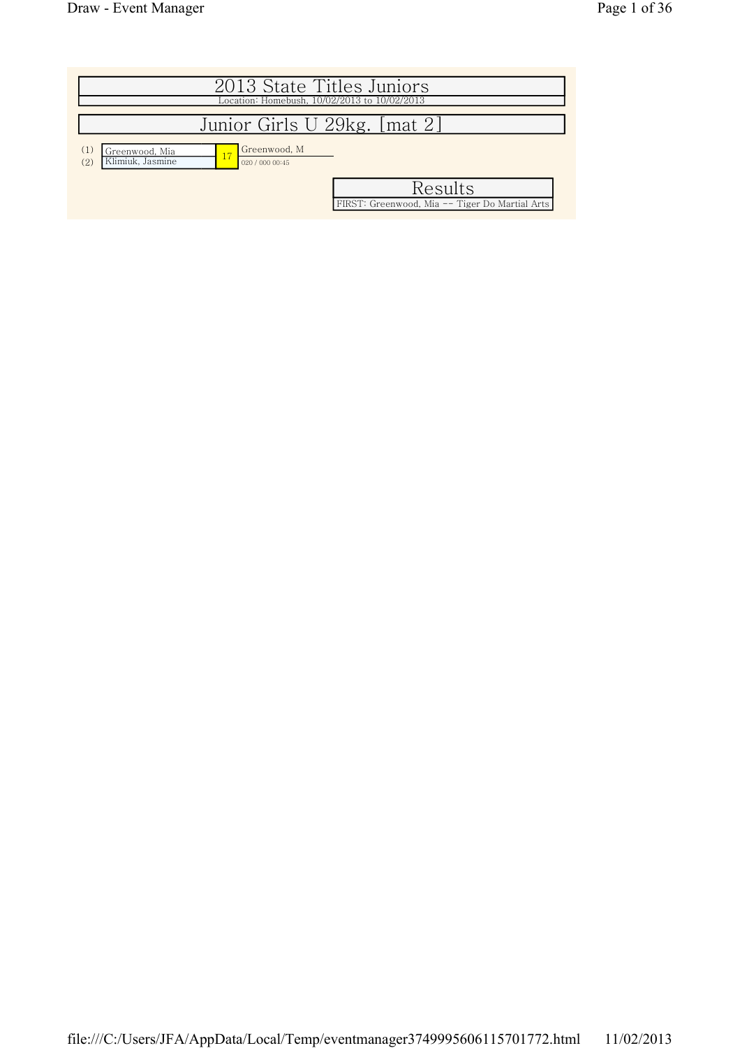|                                                  | 2013 State Titles Juniors<br>Location: Homebush, 10/02/2013 to 10/02/2013                    |
|--------------------------------------------------|----------------------------------------------------------------------------------------------|
|                                                  | Junior Girls U 29kg. [mat 2]                                                                 |
| (1)<br>Greenwood, Mia<br>Klimiuk, Jasmine<br>(2) | Greenwood, M<br>020 / 000 00:45<br>Results<br>FIRST: Greenwood, Mia -- Tiger Do Martial Arts |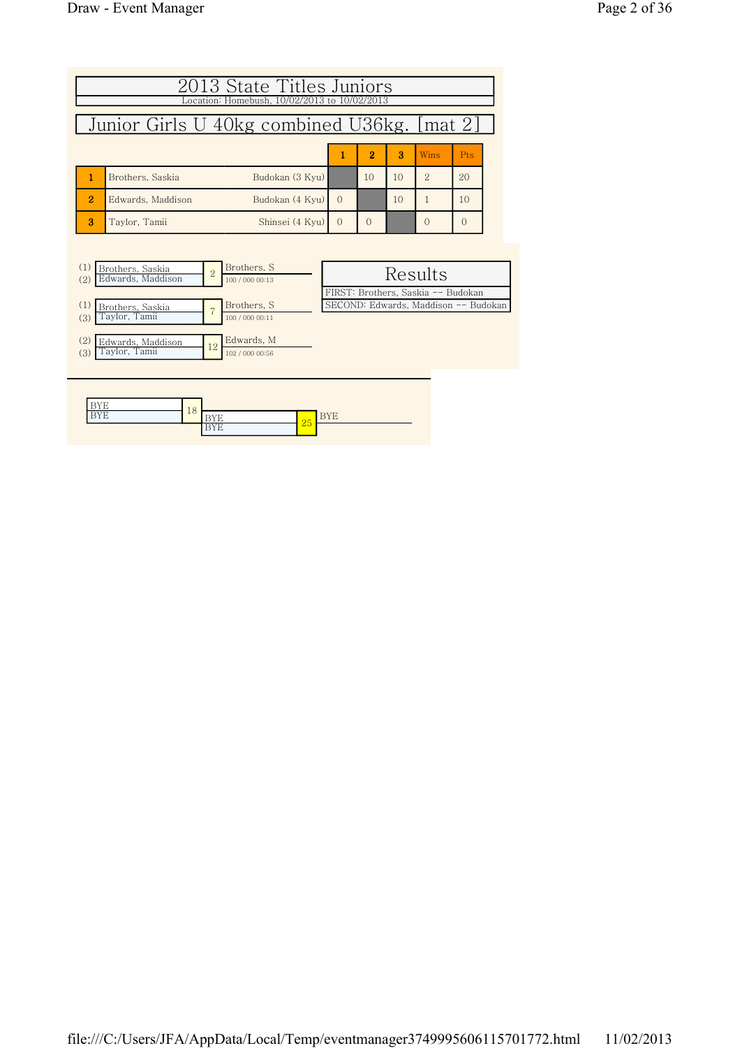|                                             | 2013 State Titles Juniors<br>Location: Homebush, 10/02/2013 to 10/02/2013 |                |                                |          |          |     |                                      |          |  |  |
|---------------------------------------------|---------------------------------------------------------------------------|----------------|--------------------------------|----------|----------|-----|--------------------------------------|----------|--|--|
| Junior Girls U 40kg combined U36kg. [mat 2] |                                                                           |                |                                |          |          |     |                                      |          |  |  |
|                                             |                                                                           | 1              | $\overline{2}$                 | 3        | Wins     | Pts |                                      |          |  |  |
| 1                                           | Brothers, Saskia                                                          |                | Budokan (3 Kyu)                |          | 10       | 10  | $\overline{2}$                       | 20       |  |  |
| $\overline{2}$                              | Edwards, Maddison                                                         |                | Budokan (4 Kyu)                | $\Omega$ |          | 10  | 1                                    | 10       |  |  |
| 3                                           | Taylor, Tamii                                                             |                | Shinsei (4 Kyu)                | $\Omega$ | $\Omega$ |     | $\Omega$                             | $\Omega$ |  |  |
|                                             |                                                                           |                |                                |          |          |     |                                      |          |  |  |
| (1)<br>(2)                                  | Brothers, Saskia<br>Edwards, Maddison                                     | $\overline{2}$ | Brothers, S<br>100 / 000 00:13 |          |          |     | Results                              |          |  |  |
|                                             |                                                                           |                |                                |          |          |     | FIRST: Brothers, Saskia -- Budokan   |          |  |  |
| (1)<br>(3)                                  | Brothers, Saskia<br>Taylor, Tamii                                         |                | Brothers, S<br>100 / 000 00:11 |          |          |     | SECOND: Edwards, Maddison -- Budokan |          |  |  |

| (2)<br>Edwards, Maddison<br>Taylor, Tamii<br>(3) | 12                             | Edwards, M<br>102 / 000 00:56 |                  |
|--------------------------------------------------|--------------------------------|-------------------------------|------------------|
|                                                  |                                |                               |                  |
| <b>BYE</b><br><b>BYE</b>                         | 18<br><b>BYE</b><br><b>BYE</b> |                               | <b>BYE</b><br>25 |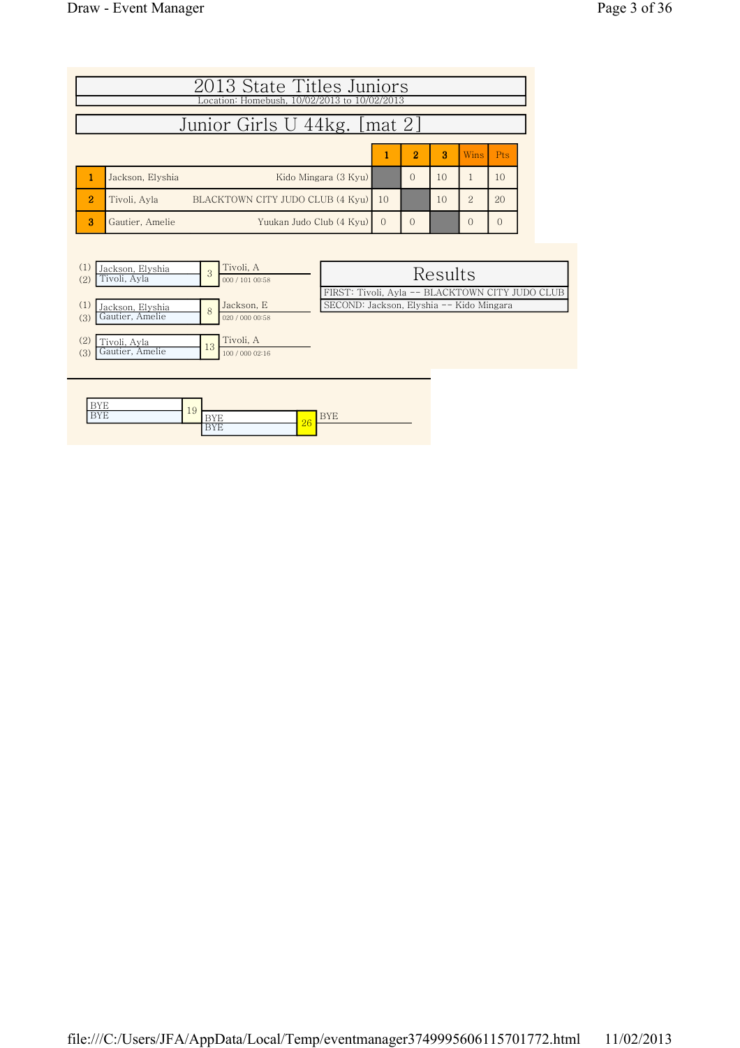| 2013 State Titles Juniors<br>Location: Homebush, 10/02/2013 to 10/02/2013 |                                                  |          |                |    |                |            |  |  |  |  |
|---------------------------------------------------------------------------|--------------------------------------------------|----------|----------------|----|----------------|------------|--|--|--|--|
| Junior Girls U 44kg. [mat 2]                                              |                                                  |          |                |    |                |            |  |  |  |  |
|                                                                           |                                                  |          | $\overline{2}$ | 3  | Wins           | <b>Pts</b> |  |  |  |  |
|                                                                           | Kido Mingara (3 Kyu)<br>Jackson, Elyshia         |          |                | 10 |                | 10         |  |  |  |  |
| $\overline{2}$                                                            | BLACKTOWN CITY JUDO CLUB (4 Kyu)<br>Tivoli, Avla | 10       |                | 10 | $\overline{2}$ | 20         |  |  |  |  |
| 3                                                                         | Yuukan Judo Club (4 Kyu)<br>Gautier, Amelie      | $\Omega$ |                |    |                |            |  |  |  |  |

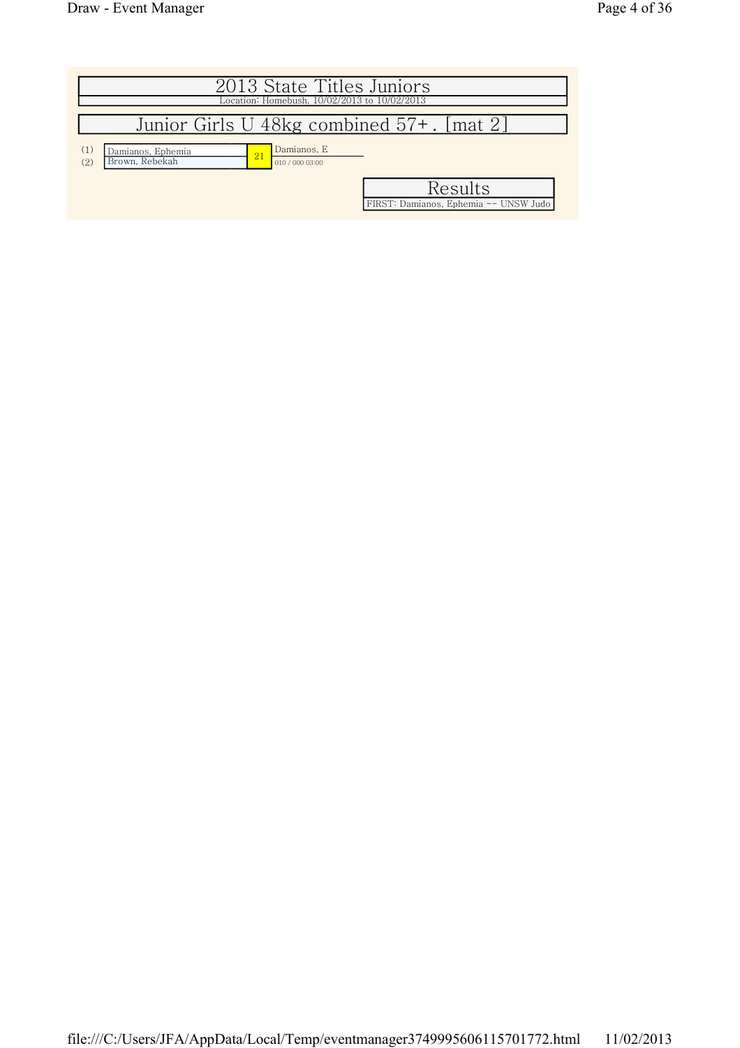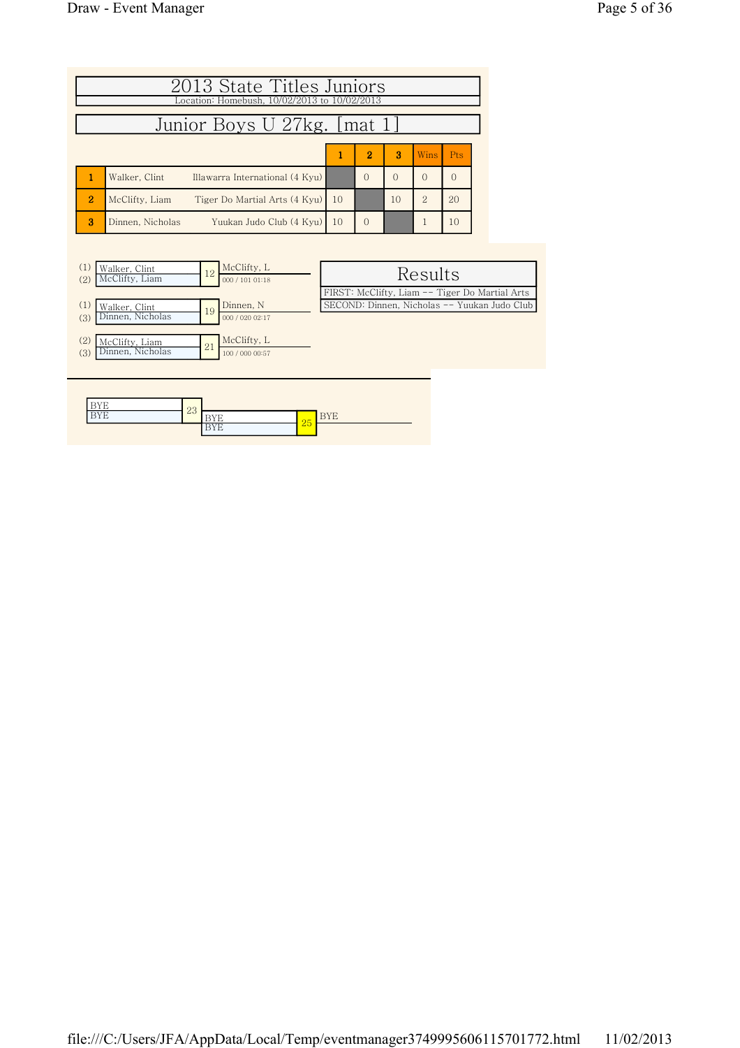| 2013 State Titles Juniors<br>Location: Homebush, 10/02/2013 to 10/02/2013<br>Junior Boys U 27kg. [mat 1] |                                                  |    |                |          |                |            |  |  |  |  |
|----------------------------------------------------------------------------------------------------------|--------------------------------------------------|----|----------------|----------|----------------|------------|--|--|--|--|
|                                                                                                          |                                                  |    | $\overline{2}$ | 3        | Wins           | <b>Pts</b> |  |  |  |  |
|                                                                                                          | Illawarra International (4 Kyu)<br>Walker, Clint |    | $\Omega$       | $\Omega$ | $\Omega$       | $\Omega$   |  |  |  |  |
| $\overline{2}$                                                                                           | Tiger Do Martial Arts (4 Kyu)<br>McClifty, Liam  | 10 |                | 10       | $\overline{2}$ | 20         |  |  |  |  |
| 3                                                                                                        | Yuukan Judo Club (4 Kyu)<br>Dinnen, Nicholas     | 10 | $\Omega$       |          |                | 10         |  |  |  |  |

| Walker, Clint<br>McClifty, Liam<br>(2) | 12 | McClifty, L<br>000 / 101 01:18 | Results                                        |
|----------------------------------------|----|--------------------------------|------------------------------------------------|
|                                        |    |                                | FIRST: McClifty, Liam -- Tiger Do Martial Arts |
| Walker, Clint                          | 19 | Dinnen, N                      | SECOND: Dinnen, Nicholas -- Yuukan Judo Club   |
| Dinnen, Nicholas<br>(3)                |    | 000 / 020 02:17                |                                                |
|                                        |    |                                |                                                |
| (2)<br>McClifty, Liam                  | 21 | McClifty, L                    |                                                |
| Dinnen, Nicholas<br>(3)                |    | 100 / 000 00:57                |                                                |
|                                        |    |                                |                                                |
|                                        |    |                                |                                                |

| $-1$<br>. .<br>-         | ററ       |          |          |        |
|--------------------------|----------|----------|----------|--------|
| $-77$<br>. .<br><b>.</b> | $\omega$ |          | $\Omega$ | .<br>∸ |
|                          |          | 1 L<br>∸ | 25       |        |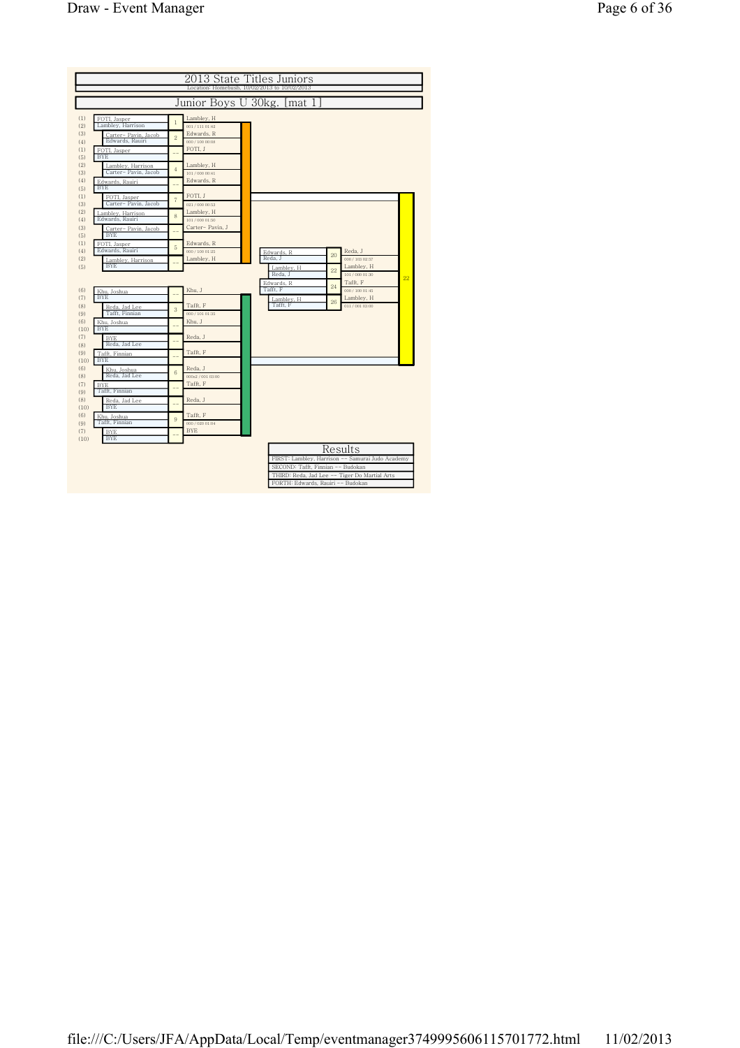|             |                                           |                |                               | 2013 State Titles Juniors<br>Location: Homebush, 10/02/2013 to 10/02/2013                                                                                                   |    |                               |    |
|-------------|-------------------------------------------|----------------|-------------------------------|-----------------------------------------------------------------------------------------------------------------------------------------------------------------------------|----|-------------------------------|----|
|             |                                           |                |                               |                                                                                                                                                                             |    |                               |    |
|             |                                           |                |                               | Junior Boys U 30kg. [mat 1                                                                                                                                                  |    |                               |    |
| (1)<br>(2)  | FOTI, Jasper<br>Lambley, Harrison         | $\mathbf{1}$   | Lambley, H<br>001/111 01:42   |                                                                                                                                                                             |    |                               |    |
| (3)<br>(4)  | Carter- Pavin, Jacob<br>Edwards, Rauiri   | $\overline{2}$ | Edwards, R<br>000 / 100 00:08 |                                                                                                                                                                             |    |                               |    |
| (1)<br>(5)  | FOTI, Jasper<br><b>BYE</b>                |                | FOTI, J                       |                                                                                                                                                                             |    |                               |    |
| (2)<br>(3)  | Lamblev. Harrison<br>Carter- Pavin, Jacob | $\overline{4}$ | Lambley, H<br>101 / 000 00:41 |                                                                                                                                                                             |    |                               |    |
| (4)<br>(5)  | Edwards, Rauiri<br><b>BYE</b>             |                | Edwards, R                    |                                                                                                                                                                             |    |                               |    |
| (1)<br>(3)  | FOTI, Jasper<br>Carter-Pavin, Jacob       | $\overline{7}$ | FOTI, J<br>021/000 00:53      |                                                                                                                                                                             |    |                               |    |
| (2)<br>(4)  | Lambley, Harrison<br>Edwards, Rauiri      | 8              | Lambley, H<br>101 / 000 01:50 |                                                                                                                                                                             |    |                               |    |
| (3)<br>(5)  | Carter- Pavin, Jacob<br><b>BYE</b>        |                | Carter- Pavin, J              |                                                                                                                                                                             |    |                               |    |
| (1)<br>(4)  | FOTI, Jasper<br>Edwards, Rauiri           | 5              | Edwards, R<br>000 / 100 01:25 | Edwards, R                                                                                                                                                                  |    | Reda, J                       |    |
| (2)<br>(5)  | Lambley, Harrison<br><b>BYE</b>           |                | Lambley, H                    | Reda. J<br>Lambley, H                                                                                                                                                       | 20 | 000 / 103 02:57<br>Lambley, H |    |
|             |                                           |                |                               | Reda. J<br>Edwards, R                                                                                                                                                       | 22 | 101 / 000 01:30<br>Tafft, F   | 22 |
| (6)<br>(7)  | Khu, Joshua<br><b>BYE</b>                 |                | Khu, J                        | Tafft, F<br>Lambley, H                                                                                                                                                      | 24 | 000 / 100 01:45<br>Lambley, H |    |
| (8)<br>(9)  | Reda, Jad Lee<br>Tafft, Finnian           | 3              | Tafft, F<br>000 / 101 01:35   | Tafft, F                                                                                                                                                                    | 26 | 011/001 03:00                 |    |
| (6)<br>(10) | Khu, Joshua<br><b>BYE</b>                 |                | Khu, J                        |                                                                                                                                                                             |    |                               |    |
| (7)<br>(8)  | <b>BYE</b><br>Reda, Jad Lee               |                | Reda, J                       |                                                                                                                                                                             |    |                               |    |
| (9)<br>(10) | Tafft, Finnian<br><b>BYE</b>              |                | Tafft, F                      |                                                                                                                                                                             |    |                               |    |
| (6)<br>(8)  | Khu, Joshua<br>Reda, Jad Lee              | 6              | Reda, J<br>000s2 / 001 03:00  |                                                                                                                                                                             |    |                               |    |
| (7)<br>(9)  | <b>BYE</b><br>Tafft, Finnian              |                | Tafft, F                      |                                                                                                                                                                             |    |                               |    |
| (8)<br>(10) | Reda, Jad Lee<br><b>BYE</b>               |                | Reda, J                       |                                                                                                                                                                             |    |                               |    |
| (6)<br>(9)  | Khu. Joshua<br>Tafft, Finnian             | 9              | Tafft, F<br>000 / 020 01:04   |                                                                                                                                                                             |    |                               |    |
| (7)<br>(10) | <b>BYE</b><br><b>BYE</b>                  |                | <b>BYE</b>                    |                                                                                                                                                                             |    |                               |    |
|             |                                           |                |                               | FIRST: Lambley, Harrison -- Samurai Judo Academy<br>SECOND: Tafft, Finnian -- Budokan<br>THIRD: Reda, Jad Lee -- Tiger Do Martial Arts<br>FORTH: Edwards, Rauiri -- Budokan |    | Results                       |    |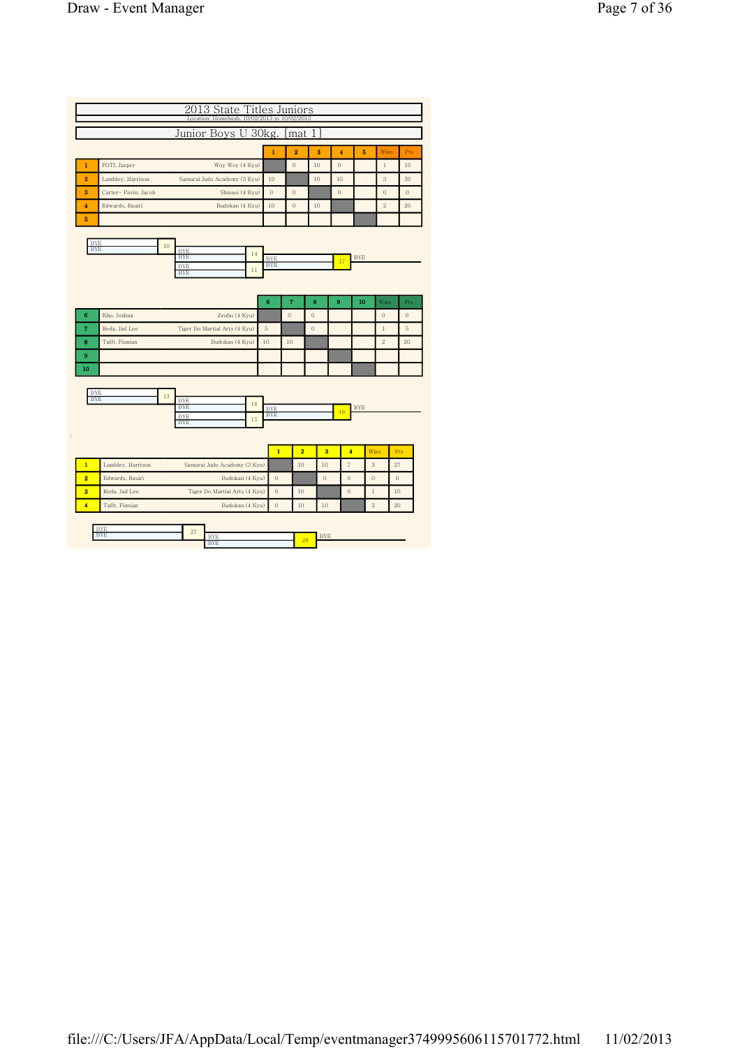|                              |                                                            | Junior Boys U 30kg.           |                          | mat                 | 1              |                   |                |                |              |
|------------------------------|------------------------------------------------------------|-------------------------------|--------------------------|---------------------|----------------|-------------------|----------------|----------------|--------------|
|                              |                                                            |                               | $\mathbf{1}$             | 2                   | 3              | 4                 | 5              | Wins           | Pts          |
| $\mathbf{1}$                 | FOTI, Jasper                                               | Woy Woy (4 Kyu)               |                          | $\theta$            | 10             | $\theta$          |                | $\,1$          | $10\,$       |
| $\overline{\mathbf{2}}$      | Lambley, Harrison                                          | Samurai Judo Academy (3 Kyu)  | 10                       |                     | 10             | 10                |                | 3              | 30           |
| 3                            | Carter- Pavin, Jacob                                       | Shinsei (4 Kyu)               | $\mathbf{0}$             | $\theta$            |                | $\theta$          |                | $\mathbf{0}$   | $\theta$     |
| $\overline{\mathbf{4}}$      | Edwards, Rauiri                                            | Budokan (4 Kyu)               | 10                       | $\theta$            | 10             |                   |                | $\,2$          | 20           |
| 5                            |                                                            |                               |                          |                     |                |                   |                |                |              |
| <b>BYE</b><br><b>BYE</b>     | 10<br><b>BYE</b><br><b>BYE</b><br><b>BYE</b><br><b>BYE</b> | 14<br>$11\,$                  | <b>BYE</b><br><b>BYE</b> |                     |                | 17                | <b>BYE</b>     |                |              |
|                              |                                                            |                               | 6                        | $\scriptstyle\rm 7$ | 8              | 9                 | 10             | Wins           | Pts          |
| 6                            | Khu, Joshua                                                | Zenbu (4 Kyu)                 |                          | $\mathbf 0$         | $\overline{0}$ |                   |                | $\mathbf{0}$   | $\mathbf{0}$ |
| $\overline{7}$               | Reda, Jad Lee                                              | Tiger Do Martial Arts (4 Kyu) | 5                        |                     | $\theta$       |                   |                | $\mathbf{1}$   | 5            |
| 8                            | Tafft, Finnian                                             | Budokan (4 Kyu)               | 10                       | 10                  |                |                   |                | $\overline{2}$ | 20           |
| 9                            |                                                            |                               |                          |                     |                |                   |                |                |              |
| 10                           |                                                            |                               |                          |                     |                |                   |                |                |              |
| <b>BYE</b><br><b>BYE</b>     | 13<br><b>BYE</b><br><b>BYE</b><br><b>BYE</b><br><b>BYE</b> | 16<br>15                      | <b>BYE</b><br><b>BYE</b> |                     |                | 18                | <b>BYE</b>     |                |              |
|                              |                                                            |                               | $\overline{1}$           | $\overline{2}$      | 3              | $\overline{4}$    | Wins           |                | Pts          |
| $\mathbf{1}$                 | Lambley, Harrison                                          | Samurai Judo Academy (3 Kyu)  |                          | 10                  | 10             | $\overline{\tau}$ | $\sqrt{3}$     |                | 27           |
| $\overline{2}$               | Edwards, Rauiri                                            | Budokan (4 Kyu)               | $\theta$                 |                     | $\overline{0}$ | $\theta$          | $\overline{0}$ |                | $\mathbf{0}$ |
|                              | Reda, Jad Lee                                              | Tiger Do Martial Arts (4 Kyu) | $\theta$                 | 10                  |                | $\mathbf{0}$      | $\mathbf{1}$   |                | 10           |
| $\overline{\mathbf{3}}$<br>4 |                                                            |                               | $\theta$                 |                     |                |                   | $\,2$          |                | 20           |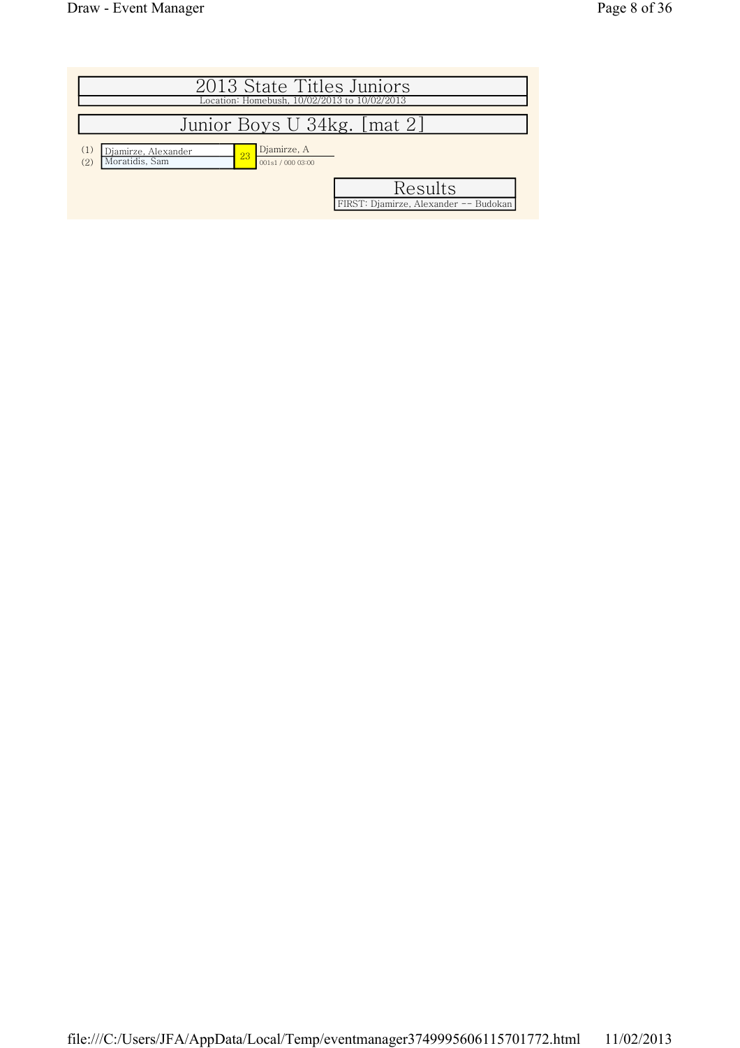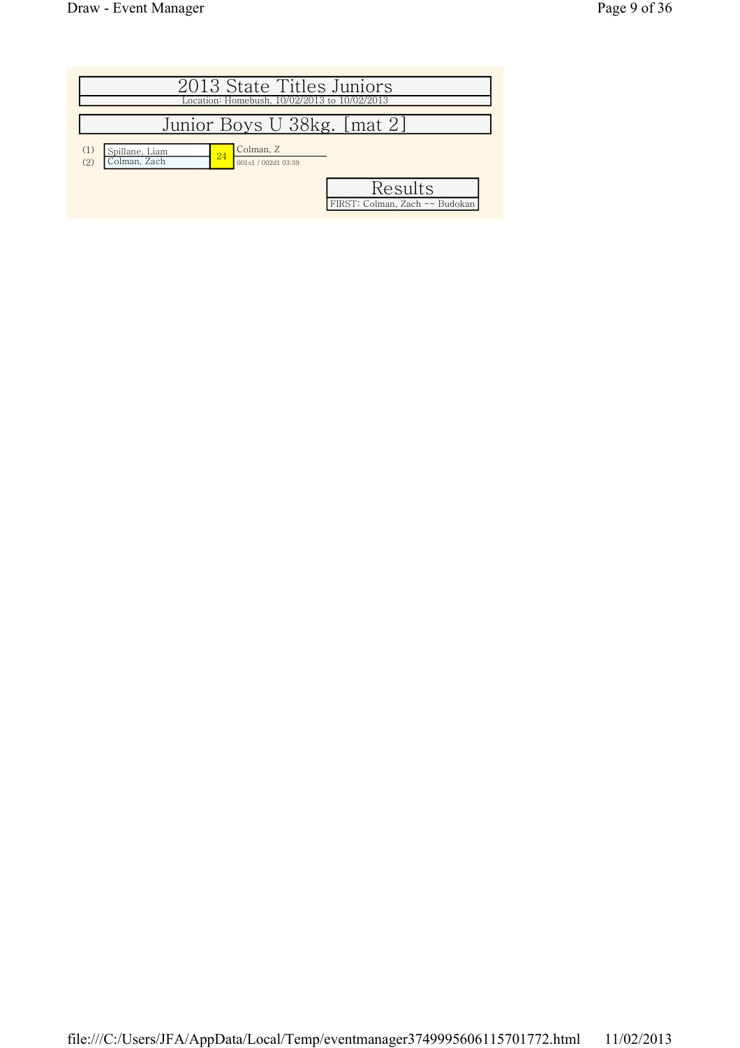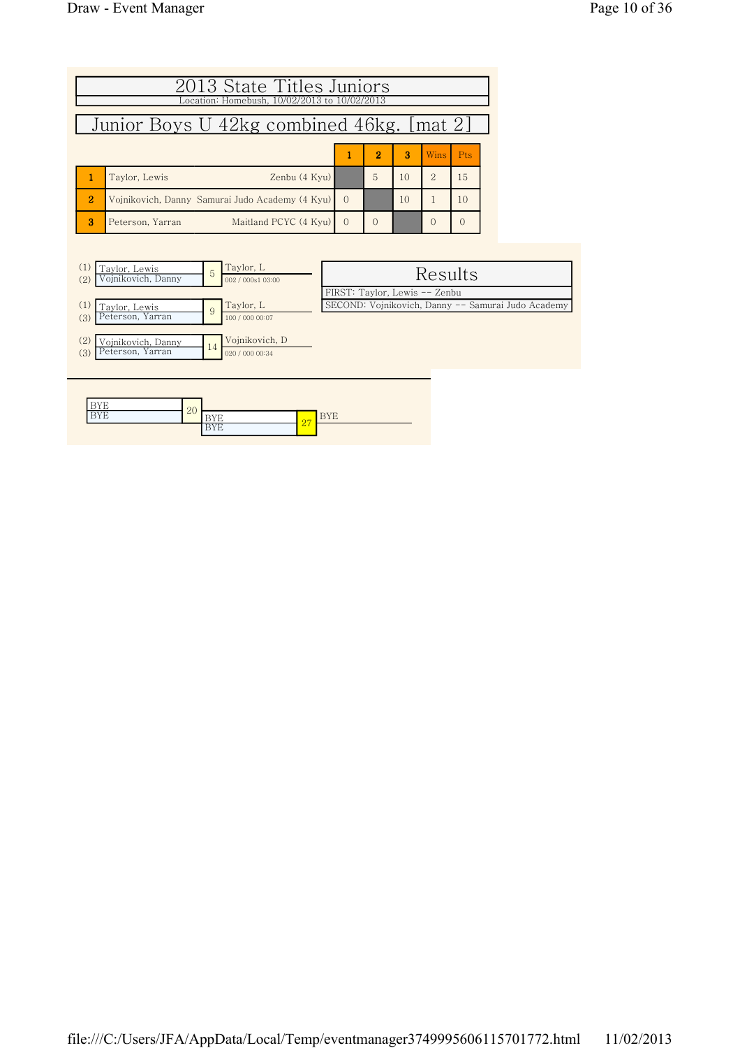|                                           | 2013 State Titles Juniors<br>Location: Homebush, 10/02/2013 to 10/02/2013 |          |                |    |                |            |  |  |  |  |  |
|-------------------------------------------|---------------------------------------------------------------------------|----------|----------------|----|----------------|------------|--|--|--|--|--|
| Junior Boys U 42kg combined 46kg. [mat 2] |                                                                           |          |                |    |                |            |  |  |  |  |  |
|                                           |                                                                           |          | $\overline{2}$ | я  | Wins           | <b>Pts</b> |  |  |  |  |  |
|                                           | Zenbu (4 Kyu)<br>Taylor, Lewis                                            |          | 5              | 10 | $\overline{2}$ | 15         |  |  |  |  |  |
| $\overline{2}$                            | Vojnikovich, Danny Samurai Judo Academy (4 Kyu)                           | $\Omega$ |                | 10 |                | 10         |  |  |  |  |  |
| $\mathbf{R}$                              | Maitland PCYC (4 Kyu)<br>Peterson, Yarran                                 | $\Omega$ | ∩              |    | $\Omega$       | 0          |  |  |  |  |  |



| - -        | $\Omega$ |                 |                   |        |
|------------|----------|-----------------|-------------------|--------|
| ---<br>. . | $\sim$   | . .<br><b>.</b> | $\sigma$ $\sigma$ | .<br>∸ |
|            |          | - 11<br>∸       | ▵                 |        |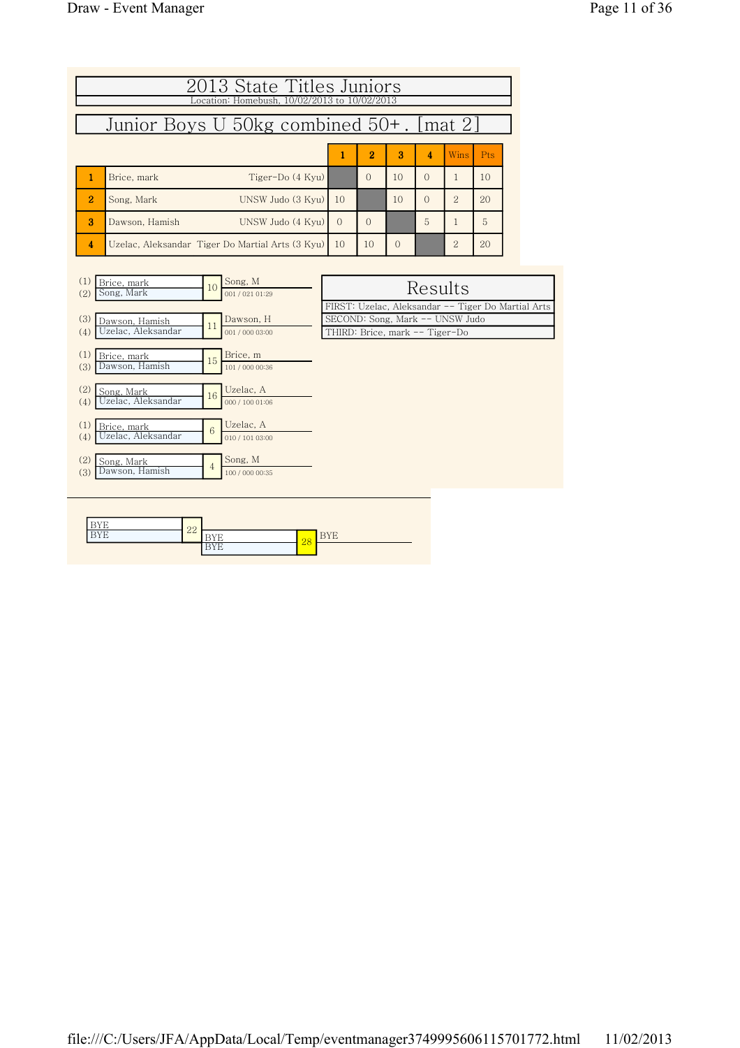| 2013 State Titles Juniors<br>Location: Homebush, 10/02/2013 to 10/02/2013 |                                                                            |                                                                                                                         |          |          |          |                |    |  |  |  |  |  |  |
|---------------------------------------------------------------------------|----------------------------------------------------------------------------|-------------------------------------------------------------------------------------------------------------------------|----------|----------|----------|----------------|----|--|--|--|--|--|--|
|                                                                           | Junior Boys U 50kg combined 50+. [mat 2]                                   |                                                                                                                         |          |          |          |                |    |  |  |  |  |  |  |
|                                                                           | $\overline{2}$<br>3<br>4<br>Wins<br><b>Pts</b><br>1                        |                                                                                                                         |          |          |          |                |    |  |  |  |  |  |  |
| 1                                                                         | Brice, mark<br>Tiger-Do (4 Kyu)                                            |                                                                                                                         | $\Omega$ | 10       | $\Omega$ | 1              | 10 |  |  |  |  |  |  |
| $\overline{2}$                                                            | Song, Mark<br>UNSW Judo (3 Kyu)                                            | 10                                                                                                                      |          | 10       | $\Omega$ | $\overline{2}$ | 20 |  |  |  |  |  |  |
| 3                                                                         | UNSW Judo (4 Kyu)<br>Dawson, Hamish                                        | $\Omega$                                                                                                                | $\Omega$ |          | 5        | 1              | 5  |  |  |  |  |  |  |
| 4                                                                         | Uzelac, Aleksandar Tiger Do Martial Arts (3 Kyu)                           | 10                                                                                                                      | 10       | $\Omega$ |          | $\overline{2}$ | 20 |  |  |  |  |  |  |
| (1)<br>(2)                                                                | Song, M<br>Brice, mark<br>10<br>Song, Mark<br>001/021 01:29                |                                                                                                                         |          |          | Results  |                |    |  |  |  |  |  |  |
| (3)<br>(4)                                                                | Dawson, H<br>Dawson. Hamish<br>11<br>Uzelac, Aleksandar<br>001 / 000 03:00 | FIRST: Uzelac, Aleksandar -- Tiger Do Martial Arts<br>SECOND: Song, Mark -- UNSW Judo<br>THIRD: Brice, mark -- Tiger-Do |          |          |          |                |    |  |  |  |  |  |  |
| (1)<br>(3)                                                                | Brice, m<br>Brice, mark<br>15<br>Dawson, Hamish<br>101 / 000 00:36         |                                                                                                                         |          |          |          |                |    |  |  |  |  |  |  |
| (2)<br>(4)                                                                | Uzelac, A<br>Song, Mark<br>16<br>Uzelac, Aleksandar<br>000 / 100 01:06     |                                                                                                                         |          |          |          |                |    |  |  |  |  |  |  |

| Brice, mark<br>Song, Mark         | 10 | JUIK, WI<br>001/021 01:29    | Results                                            |
|-----------------------------------|----|------------------------------|----------------------------------------------------|
|                                   |    |                              | FIRST: Uzelac, Aleksandar -- Tiger Do Martial Arts |
| Dawson, Hamish                    |    | Dawson, H                    | SECOND: Song, Mark -- UNSW Judo                    |
| Uzelac, Aleksandar                |    | 001 / 000 03:00              | THIRD: Brice, mark -- Tiger-Do                     |
| Brice, mark<br>Dawson, Hamish     | 15 | Brice, m<br>101 / 000 00:36  |                                                    |
| Song, Mark<br>Uzelac, Aleksandar  | 16 | Uzelac, A<br>000 / 100 01:06 |                                                    |
| Brice, mark<br>Uzelac, Aleksandar | 6  | Uzelac, A<br>010 / 101 03:00 |                                                    |
| Song, Mark<br>Dawson, Hamish      |    | Song, M<br>100 / 000 00:35   |                                                    |
|                                   |    | 11                           |                                                    |

| $  -$<br>. .      | ററ |                         |    |  |
|-------------------|----|-------------------------|----|--|
| $-1$<br>≺<br>ننتب | 44 | . .<br><b>.</b>         | 28 |  |
|                   |    | $-1$<br><b>.</b><br>. . |    |  |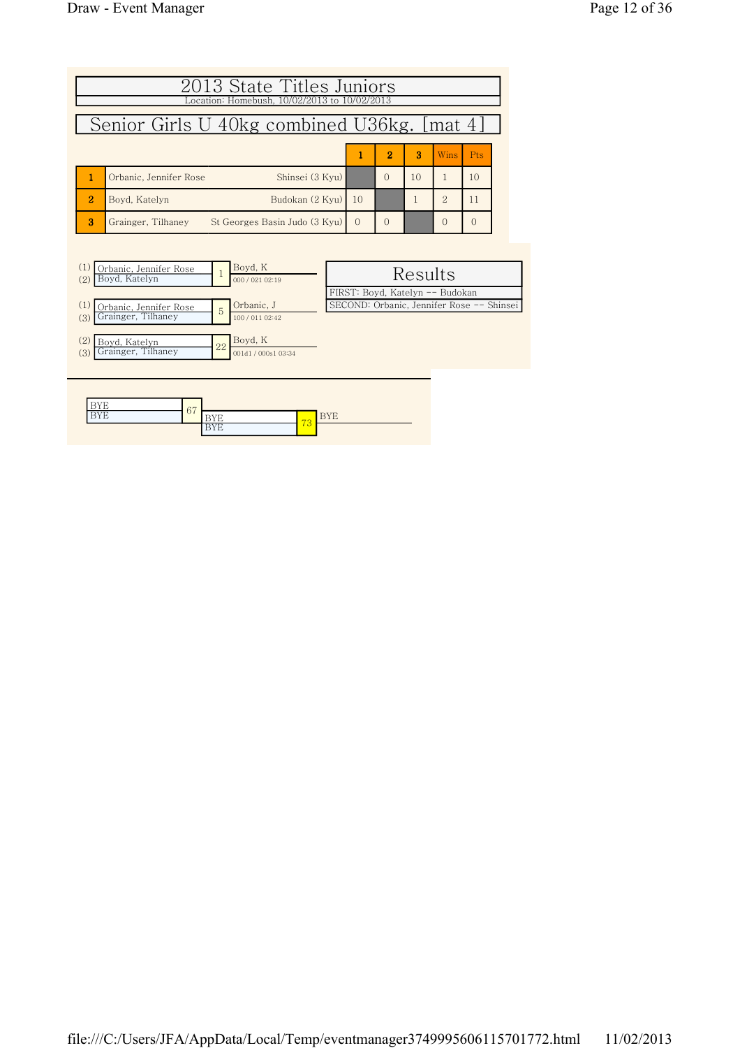|                | 2013 State Titles Juniors<br>Location: Homebush, 10/02/2013 to 10/02/2013 |          |                |                 |               |        |  |  |  |  |  |
|----------------|---------------------------------------------------------------------------|----------|----------------|-----------------|---------------|--------|--|--|--|--|--|
|                | Senior Girls U 40kg combined U36kg. [mat 4]                               |          |                |                 |               |        |  |  |  |  |  |
|                |                                                                           | 1        | $\overline{2}$ | З               | Wins.         | Pts    |  |  |  |  |  |
|                | Shinsei (3 Kvu)<br>Orbanic, Jennifer Rose                                 |          | $\Omega$       | 10 <sup>2</sup> |               | 10     |  |  |  |  |  |
| $\overline{2}$ | Budokan (2 Kyu)<br>Bovd. Katelyn                                          | 10       |                |                 | $\mathcal{P}$ | 11     |  |  |  |  |  |
| $\mathbf{R}$   | St Georges Basin Judo (3 Kyu)<br>Grainger, Tilhanev                       | $\Omega$ | $\Omega$       |                 | $\cap$        | $\cap$ |  |  |  |  |  |

| (1)<br>Orbanic, Jennifer Rose |    | Boyd, K             |                                           |
|-------------------------------|----|---------------------|-------------------------------------------|
| Boyd, Katelyn<br>(2)          |    | 000 / 021 02:19     | Results                                   |
|                               |    |                     | FIRST: Boyd, Katelyn -- Budokan           |
| Orbanic, Jennifer Rose        | 5  | Orbanic, J          | SECOND: Orbanic, Jennifer Rose -- Shinsei |
| Grainger, Tilhaney<br>(3)     |    | 100 / 011 02:42     |                                           |
|                               |    |                     |                                           |
| (2)<br>Boyd, Katelyn          | 22 | Boyd, K             |                                           |
| Grainger, Tilhaney<br>(3)     |    | 001d1 / 000s1 03:34 |                                           |
|                               |    |                     |                                           |
|                               |    |                     |                                           |
|                               |    |                     |                                           |

| ---           | 67 |   |                          |  |
|---------------|----|---|--------------------------|--|
| .<br><b>.</b> |    | - | $\overline{\phantom{a}}$ |  |
|               |    | . | ು                        |  |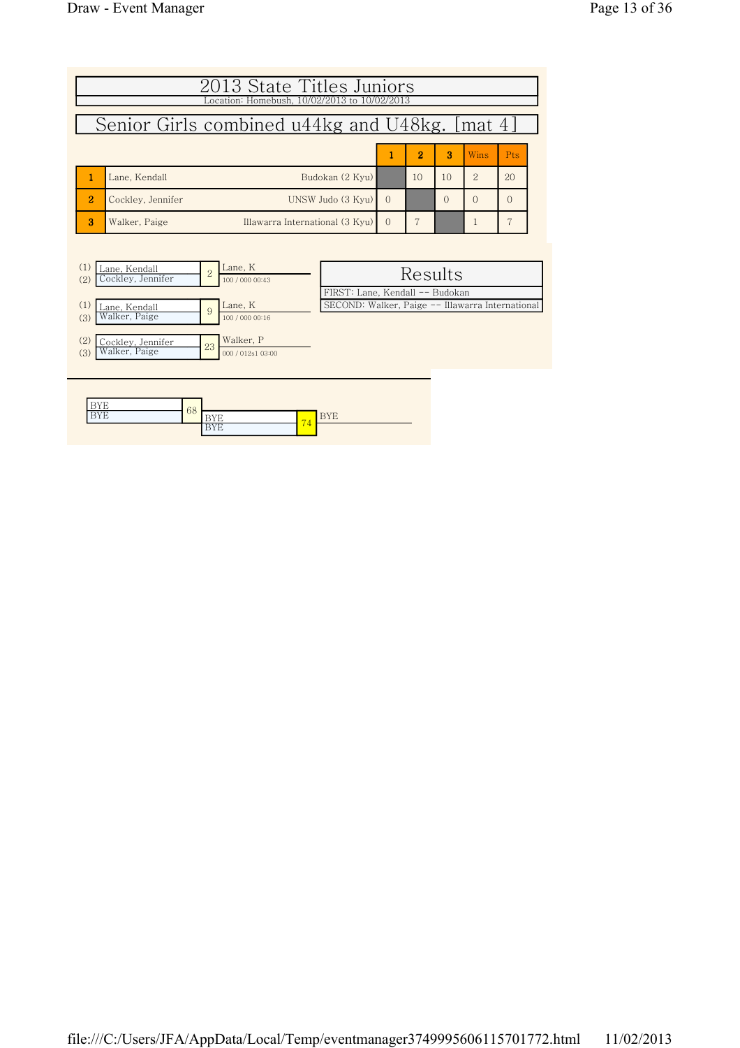| 2013 State Titles Juniors                                                                        |                                                                                     |         |          |                |          |  |  |  |  |  |
|--------------------------------------------------------------------------------------------------|-------------------------------------------------------------------------------------|---------|----------|----------------|----------|--|--|--|--|--|
| Location: Homebush, 10/02/2013 to 10/02/2013                                                     |                                                                                     |         |          |                |          |  |  |  |  |  |
| Senior Girls combined u44kg and U48kg. [mat 4]                                                   |                                                                                     |         |          |                |          |  |  |  |  |  |
| 2<br>3<br>Wins<br><b>Pts</b>                                                                     |                                                                                     |         |          |                |          |  |  |  |  |  |
| 1<br>Budokan (2 Kyu)<br>Lane, Kendall                                                            |                                                                                     | 10      | 10       | $\overline{2}$ | 20       |  |  |  |  |  |
| $\overline{2}$<br>UNSW Judo (3 Kyu)<br>Cockley, Jennifer                                         | $\Omega$                                                                            |         | $\Omega$ | $\Omega$       | $\Omega$ |  |  |  |  |  |
| 3<br>Walker, Paige<br>Illawarra International (3 Kyu)                                            | $\Omega$                                                                            | 7       |          | 1              | 7        |  |  |  |  |  |
|                                                                                                  |                                                                                     |         |          |                |          |  |  |  |  |  |
| Lane, K<br>(1)<br>Lane, Kendall<br>$\overline{2}$<br>Cockley, Jennifer<br>(2)<br>100 / 000 00:43 |                                                                                     | Results |          |                |          |  |  |  |  |  |
| Lane, K<br>(1)<br>Lane, Kendall<br>9<br>Walker, Paige<br>(3)<br>100 / 000 00:16                  | FIRST: Lane, Kendall -- Budokan<br>SECOND: Walker, Paige -- Illawarra International |         |          |                |          |  |  |  |  |  |
| Walker, P<br>(2)<br>Cockley, Jennifer<br>23<br>Walker, Paige<br>(3)<br>000 / 012s1 03:00         |                                                                                     |         |          |                |          |  |  |  |  |  |

| $-$            | 68 |          |   |
|----------------|----|----------|---|
| $- - - -$<br>. |    |          | . |
|                |    | <b>.</b> |   |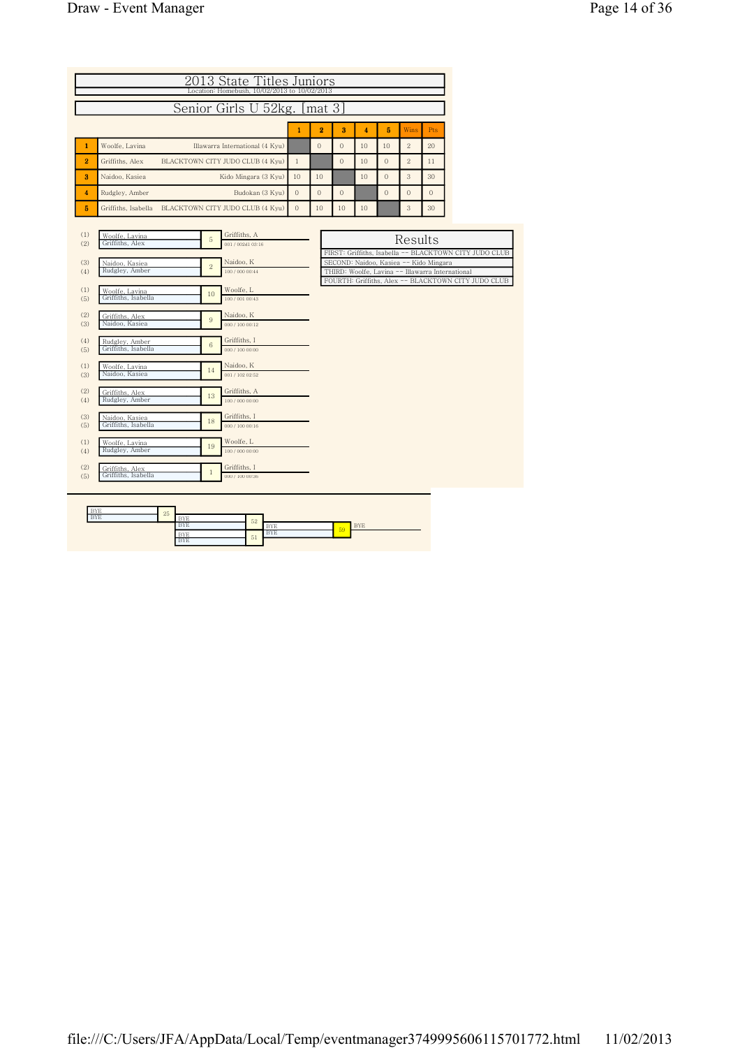| Page 14 of 36 |  |
|---------------|--|
|---------------|--|

|                                        | 2013 State Titles Juniors<br>Location: Homebush, 10/02/2013 to 10/02/2013                                      |  |                                                                                                                             |              |                |              |                         |                              |              |                                        |                                                                                                                                       |  |
|----------------------------------------|----------------------------------------------------------------------------------------------------------------|--|-----------------------------------------------------------------------------------------------------------------------------|--------------|----------------|--------------|-------------------------|------------------------------|--------------|----------------------------------------|---------------------------------------------------------------------------------------------------------------------------------------|--|
|                                        | Senior Girls U 52kg. [mat 3]                                                                                   |  |                                                                                                                             |              |                |              |                         |                              |              |                                        |                                                                                                                                       |  |
|                                        |                                                                                                                |  |                                                                                                                             | $\mathbf{1}$ | $\overline{2}$ | 3            | $\overline{\mathbf{4}}$ | 5                            | Wins         | Pts                                    |                                                                                                                                       |  |
| $\mathbf{1}$                           | Woolfe, Lavina                                                                                                 |  | Illawarra International (4 Kyu)                                                                                             |              | $\mathbf{0}$   | $\mathbf{0}$ | 10                      | 10                           | $\,2$        | 20                                     |                                                                                                                                       |  |
| $\overline{\mathbf{2}}$                | Griffiths, Alex                                                                                                |  | BLACKTOWN CITY JUDO CLUB (4 Kyu)                                                                                            | $\mathbf{1}$ |                | $\mathbf{0}$ | 10                      | $\mathbf{0}$                 | $\,2$        | 11                                     |                                                                                                                                       |  |
| 3                                      | Naidoo, Kasiea                                                                                                 |  | Kido Mingara (3 Kyu)                                                                                                        | 10           | 10             |              | 10                      | $\overline{O}$               | 3            | 30                                     |                                                                                                                                       |  |
| $\overline{\mathbf{4}}$                | Rudgley, Amber                                                                                                 |  | Budokan (3 Kyu)                                                                                                             | $\,0\,$      | $\overline{0}$ | $\mathbf{0}$ |                         | $\mathbf{0}$                 | $\mathbf{0}$ | $\Omega$                               |                                                                                                                                       |  |
| 5                                      | Griffiths, Isabella                                                                                            |  | BLACKTOWN CITY JUDO CLUB (4 Kyu)                                                                                            | $\mathbf{0}$ | 10             | 10           | 10                      |                              | 3            | 30                                     |                                                                                                                                       |  |
| (1)<br>(2)<br>(3)<br>(4)<br>(1)<br>(5) | Woolfe, Lavina<br>Griffiths, Alex<br>Naidoo, Kasiea<br>Rudgley, Amber<br>Woolfe, Lavina<br>Griffiths, Isabella |  | Griffiths, A<br>5<br>001/002d103:16<br>Naidoo, K<br>$\overline{2}$<br>100 / 000 00:44<br>Woolfe, L<br>10<br>100 / 001 00:43 |              |                |              |                         | FIRST: Griffiths, Isabella - | Results      | SECOND: Naidoo, Kasiea -- Kido Mingara | - BLACKTOWN CITY JUDO CLUB<br>THIRD: Woolfe, Lavina -- Illawarra International<br>FOURTH: Griffiths, Alex -- BLACKTOWN CITY JUDO CLUB |  |
| (2)<br>(3)<br>(4)<br>(5)               | Griffiths, Alex<br>Naidoo, Kasiea<br>Rudgley, Amber<br>Griffiths, Isabella                                     |  | Naidoo, K<br>9<br>000 / 100 00:12<br>Griffiths, I<br>6<br>000 / 100 00:00                                                   |              |                |              |                         |                              |              |                                        |                                                                                                                                       |  |
| (1)<br>(3)<br>(2)<br>(4)               | Woolfe, Lavina<br>Naidoo, Kasiea<br>Griffiths, Alex<br>Rudgley, Amber                                          |  | Naidoo, K<br>14<br>001 / 102 02:52<br>Griffiths, A<br>13<br>100 / 000 00:00                                                 |              |                |              |                         |                              |              |                                        |                                                                                                                                       |  |
| (3)<br>(5)                             | Naidoo, Kasiea<br>Griffiths, Isabella                                                                          |  | Griffiths, I<br>18<br>000 / 100 00:16                                                                                       |              |                |              |                         |                              |              |                                        |                                                                                                                                       |  |
| (1)<br>(4)                             | Woolfe, Lavina<br>Rudgley, Amber                                                                               |  | Woolfe, L<br>19<br>100 / 000 00:00                                                                                          |              |                |              |                         |                              |              |                                        |                                                                                                                                       |  |
| (2)<br>(5)                             | Griffiths, Alex<br>Griffiths, Isabella                                                                         |  | Griffiths, I<br>$\mathbf{1}$<br>000 / 100 00:36                                                                             |              |                |              |                         |                              |              |                                        |                                                                                                                                       |  |
| <b>RVF</b>                             |                                                                                                                |  |                                                                                                                             |              |                |              |                         |                              |              |                                        |                                                                                                                                       |  |

| <b>BYE</b> | 25 |            |    |                      |    |                   |
|------------|----|------------|----|----------------------|----|-------------------|
| <b>BYE</b> |    | <b>BYE</b> | 52 |                      |    |                   |
|            |    | <b>BYE</b> |    | <b>TAXZES</b><br>DIE |    | <b>TAX78</b><br>. |
|            |    | <b>BYE</b> | 51 | <b>BYE</b>           | 59 |                   |
|            |    | <b>BYE</b> |    |                      |    |                   |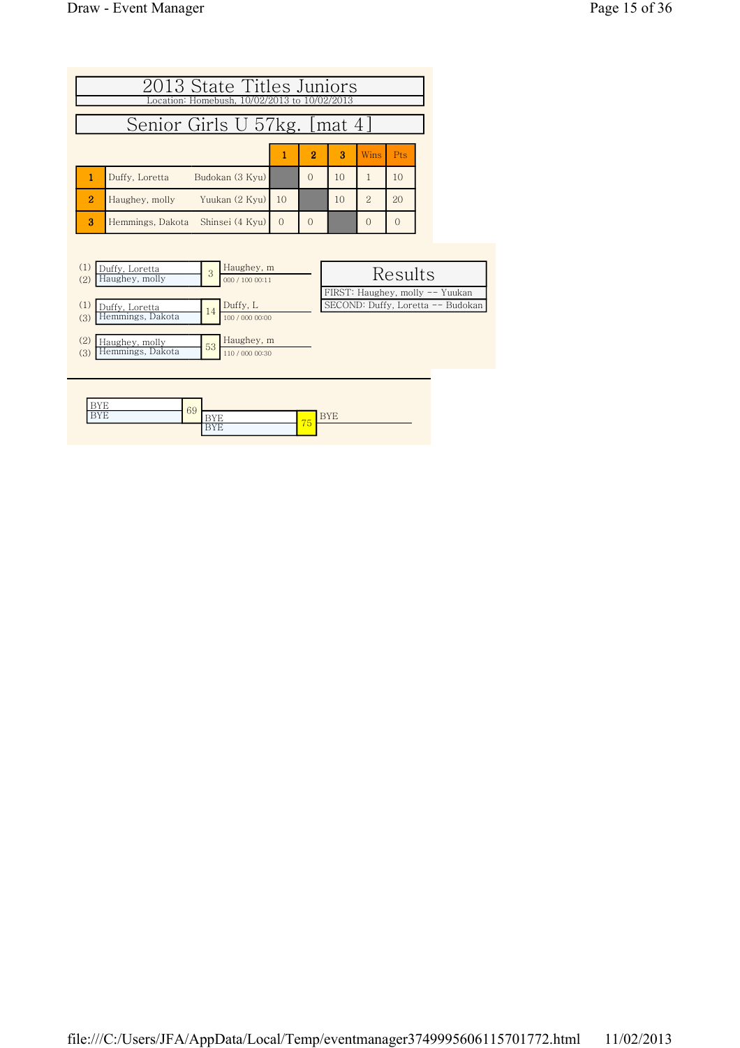| Senior Girls U 57kg. [mat 4]<br>$\overline{2}$<br>3<br>Wins<br>Pts<br>1<br>1<br>$\Omega$<br>1<br>Budokan (3 Kvu)<br>10<br>10<br>Duffy, Loretta<br>$\overline{2}$<br>$\overline{2}$<br>10<br>20<br>Yuukan (2 Kyu)<br>10<br>Haughey, molly<br>3<br>$\Omega$<br>Hemmings, Dakota Shinsei (4 Kyu)<br>$\Omega$<br>$\Omega$ | 2013 State Titles Juniors<br>Location: Homebush, 10/02/2013 to 10/02/2013 |  |  |  |  |  |  |  |  |  |  |
|-----------------------------------------------------------------------------------------------------------------------------------------------------------------------------------------------------------------------------------------------------------------------------------------------------------------------|---------------------------------------------------------------------------|--|--|--|--|--|--|--|--|--|--|
|                                                                                                                                                                                                                                                                                                                       |                                                                           |  |  |  |  |  |  |  |  |  |  |
|                                                                                                                                                                                                                                                                                                                       |                                                                           |  |  |  |  |  |  |  |  |  |  |
|                                                                                                                                                                                                                                                                                                                       |                                                                           |  |  |  |  |  |  |  |  |  |  |
|                                                                                                                                                                                                                                                                                                                       |                                                                           |  |  |  |  |  |  |  |  |  |  |
|                                                                                                                                                                                                                                                                                                                       |                                                                           |  |  |  |  |  |  |  |  |  |  |

| Duffy, Loretta<br>Haughey, molly<br>(2) | 3  | Haughey, m<br>000 / 100 00:11 | Results                           |  |
|-----------------------------------------|----|-------------------------------|-----------------------------------|--|
|                                         |    |                               | FIRST: Haughey, molly -- Yuukan   |  |
| (1)<br>Duffy, Loretta                   | 14 | Duffy, L                      | SECOND: Duffy, Loretta -- Budokan |  |
| Hemmings, Dakota<br>(3)                 |    | 100 / 000 00:00               |                                   |  |
|                                         |    |                               |                                   |  |
| (2)<br>Haughey, molly                   | 53 | Haughey, m                    |                                   |  |
| Hemmings, Dakota<br>(3)                 |    | 110 / 000 00:30               |                                   |  |
|                                         |    |                               |                                   |  |
|                                         |    |                               |                                   |  |

| ----<br>. .<br>- |    |             |     |        |
|------------------|----|-------------|-----|--------|
| ----<br>. .      | 69 | .<br>.      | -   | .<br>∸ |
|                  |    | .<br>.<br>∸ | 70. |        |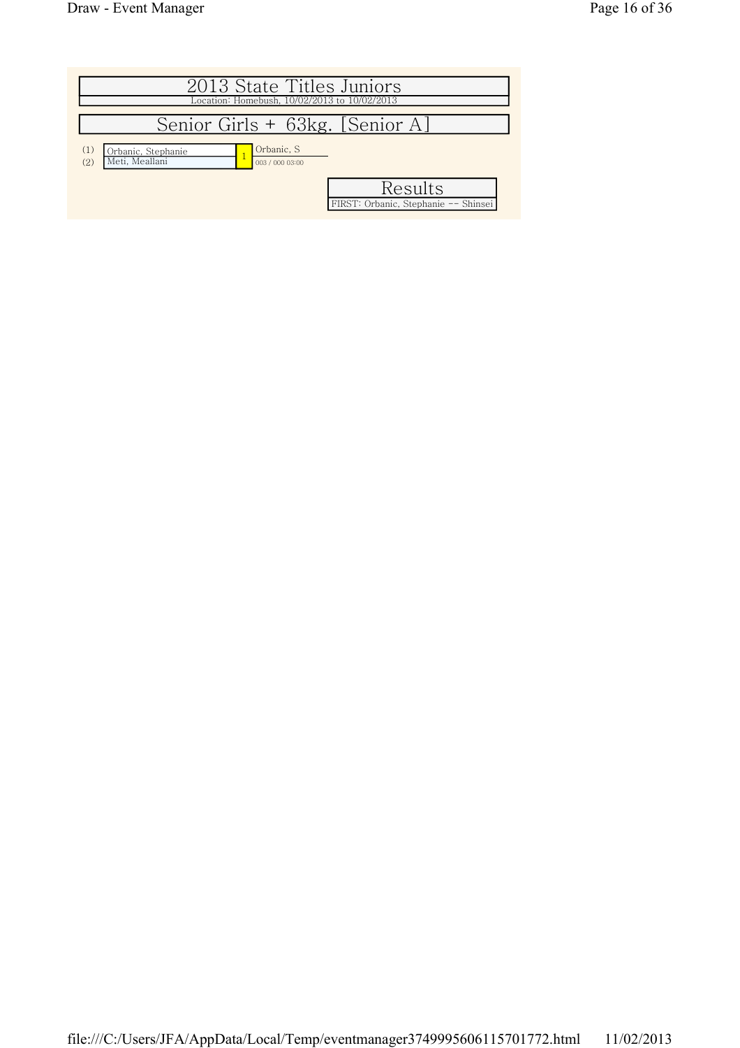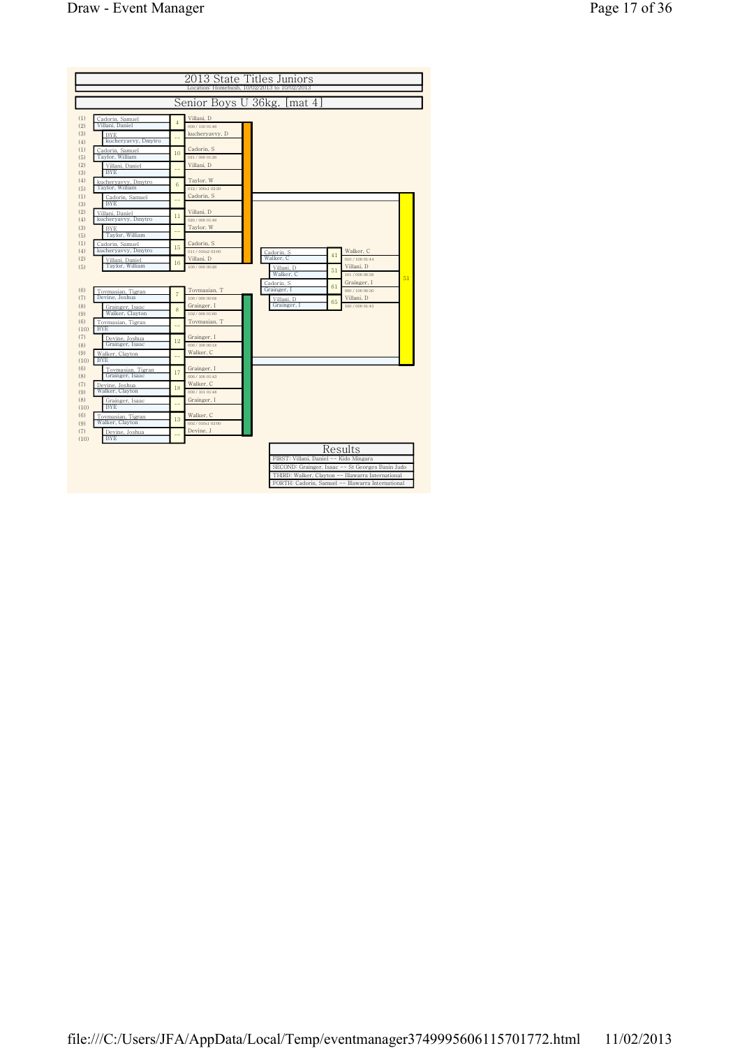|             |                                        |                |                                 | 2013 State Titles Juniors                                                                                                                                  |  |
|-------------|----------------------------------------|----------------|---------------------------------|------------------------------------------------------------------------------------------------------------------------------------------------------------|--|
|             |                                        |                |                                 | Location: Homebush, 10/02/2013 to 10/02/2013                                                                                                               |  |
|             |                                        |                | Senior Boys U 36kg.             | mat 4                                                                                                                                                      |  |
| (1)<br>(2)  | Cadorin, Samuel<br>Villani, Daniel     | $\overline{4}$ | Villani, D<br>000 / 110 01:46   |                                                                                                                                                            |  |
| (3)<br>(4)  | <b>BYE</b><br>kucheryavvy, Dmytro      |                | kucheryavvy, D                  |                                                                                                                                                            |  |
| (1)<br>(5)  | Cadorin, Samuel<br>Taylor, William     | 10             | Cadorin, S<br>021/000 01:26     |                                                                                                                                                            |  |
| (2)<br>(3)  | Villani, Daniel<br><b>BYE</b>          |                | Villani, D                      |                                                                                                                                                            |  |
| (4)<br>(5)  | kucheryavvy, Dmytro<br>Taylor, William | 6              | Taylor, W<br>012/100s1 02:20    |                                                                                                                                                            |  |
| (1)<br>(3)  | Cadorin, Samuel<br><b>BYE</b>          |                | Cadorin, S                      |                                                                                                                                                            |  |
| (2)<br>(4)  | Villani, Daniel<br>kucheryavvy, Dmytro | 11             | Villani, D<br>020 / 000 01:46   |                                                                                                                                                            |  |
| (3)<br>(5)  | <b>BYE</b><br>Taylor, William          |                | Taylor, W                       |                                                                                                                                                            |  |
| (1)<br>(4)  | Cadorin, Samuel<br>kucheryavvy, Dmytro | 15             | Cadorin, S<br>011/010s2 03:00   | Walker, C<br>Cadorin, S                                                                                                                                    |  |
| (2)<br>(5)  | Villani, Daniel<br>Taylor, William     | 16             | Villani, D<br>100 / 000 00:26   | 41<br>Walker, C<br>010 / 100 01:44<br>Villani, D<br>Villani, D                                                                                             |  |
|             |                                        |                |                                 | 51<br>Walker, C<br>101 / 000 00:38<br>51<br>Grainger, I<br>Cadorin, S                                                                                      |  |
| (6)<br>(7)  | Toymasian, Tigran<br>Devine, Joshua    | $\overline{7}$ | Tovmasian, T<br>100 / 000 00:08 | 61<br>000 / 100 00:30<br>Grainger, I<br>Villani, D<br>Villani, D                                                                                           |  |
| (8)<br>(9)  | Grainger, Isaac<br>Walker, Clayton     | 8              | Grainger, I<br>102/000 01:00    | 65<br>Grainger, I<br>100 / 000 01:45                                                                                                                       |  |
| (6)<br>(10) | Tovmasian, Tigran<br><b>BYE</b>        |                | Toymasian, T                    |                                                                                                                                                            |  |
| (7)<br>(8)  | Devine, Joshua<br>Grainger, Isaac      | 12             | Grainger, I<br>000 / 100 00:18  |                                                                                                                                                            |  |
| (9)<br>(10) | Walker, Clavton<br><b>BYE</b>          |                | Walker, C                       |                                                                                                                                                            |  |
| (6)<br>(8)  | Toymasian, Tigran<br>Grainger, Isaac   | 17             | Grainger, I<br>000 / 100 01:43  |                                                                                                                                                            |  |
| (7)<br>(9)  | Devine, Joshua<br>Walker, Clayton      | 18             | Walker, C<br>000 / 101 01:48    |                                                                                                                                                            |  |
| (8)<br>(10) | Grainger, Isaac<br><b>BYE</b>          |                | Grainger, I                     |                                                                                                                                                            |  |
| (6)<br>(9)  | Tovmasian, Tigran<br>Walker, Clayton   | 13             | Walker, C<br>002 / 010s1 03:00  |                                                                                                                                                            |  |
| (7)<br>(10) | Devine, Joshua<br><b>BYE</b>           |                | Devine, J                       |                                                                                                                                                            |  |
|             |                                        |                |                                 | Results<br>FIRST: Villani, Daniel -- Kido Mingara<br>SECOND: Grainger, Isaac -- St Georges Basin Judo<br>THIRD: Walker, Clayton -- Illawarra International |  |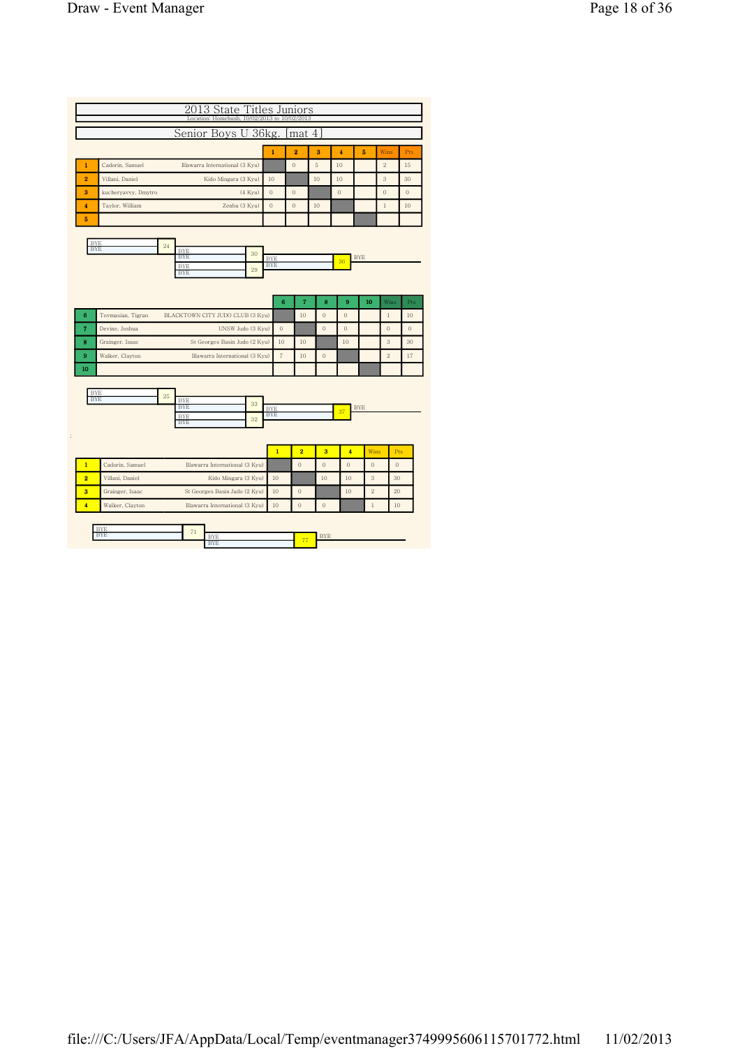| ocation: Homebush, 10/02/2013 to 10/02/2013                                                                                |                          |                   | 2013 State Titles Juniors |                         |                    |                |                     |                    |
|----------------------------------------------------------------------------------------------------------------------------|--------------------------|-------------------|---------------------------|-------------------------|--------------------|----------------|---------------------|--------------------|
| Senior Boys U 36kg.                                                                                                        |                          |                   | mat 4                     |                         |                    |                |                     |                    |
|                                                                                                                            | $\mathbf{1}$             |                   | $\overline{2}$            | 3                       | 4                  | 5              | Wins                | Pts                |
| Cadorin, Samuel<br>Illawarra International (3 Kyu)<br>1                                                                    |                          |                   | $\mathbf{0}$              | 5                       | 10                 |                | $\overline{2}$      | 15                 |
| $\overline{2}$<br>Villani, Daniel<br>Kido Mingara (3 Kyu)                                                                  | 10                       |                   |                           | 10                      | 10                 |                | 3                   | 30                 |
| 3<br>kucheryavvy, Dmytro<br>(4 Kyu)                                                                                        | $\theta$                 |                   | $\mathbf{0}$              |                         | $\mathbf{0}$       |                | $\theta$            | $\mathbf{0}$       |
| $\overline{\mathbf{4}}$<br>Taylor, William<br>Zenbu (3 Kyu)                                                                | $\mathbf{0}$             |                   | $\overline{0}$            | 10                      |                    |                | $\,1$               | 10                 |
| 5                                                                                                                          |                          |                   |                           |                         |                    |                |                     |                    |
| <b>BYE</b><br>24<br><b>BYE</b><br><b>BYE</b><br>30<br><b>BYE</b><br><b>BYE</b><br>29<br><b>BYE</b>                         | <b>BYE</b><br><b>BYE</b> |                   |                           |                         | 36                 | <b>BYE</b>     |                     |                    |
|                                                                                                                            |                          | 6                 | $\overline{7}$            | 8                       | $\overline{9}$     | 10             | Wins                | Pts                |
| 6<br>BLACKTOWN CITY JUDO CLUB (3 Kyu)<br>Tovmasian, Tigran                                                                 |                          |                   | 10                        | $\mathbf{0}$            | $\theta$           |                | $\mathbf{1}$        | 10                 |
| $\overline{7}$<br>Devine, Joshua<br>UNSW Judo (3 Kyu)<br>8                                                                 |                          | $\theta$<br>10    | 10                        | $\mathbf{0}$            | $\mathbf{0}$<br>10 |                | $\overline{0}$<br>3 | $\mathbf{0}$<br>30 |
| Grainger, Isaac<br>St Georges Basin Judo (2 Kyu)<br>$\boldsymbol{9}$<br>Walker, Clayton<br>Illawarra International (3 Kyu) |                          | $\scriptstyle{7}$ | 10                        | $\boldsymbol{0}$        |                    |                | $\overline{2}$      | 17                 |
| 10                                                                                                                         |                          |                   |                           |                         |                    |                |                     |                    |
| <b>BYE</b><br>25<br><b>BYE</b><br><b>BYE</b><br>33<br><b>BYE</b><br><b>BYE</b><br>32<br><b>BYE</b>                         | <b>BYE</b><br><b>BYE</b> |                   |                           |                         | 37                 | <b>BYE</b>     |                     |                    |
|                                                                                                                            |                          |                   |                           |                         |                    |                |                     |                    |
|                                                                                                                            |                          | $\overline{1}$    | $\overline{2}$            | $\overline{\mathbf{3}}$ |                    | $\overline{4}$ | Wins                | Pts                |
| $\mathbf{1}$<br>Cadorin, Samuel<br>Illawarra International (3 Kyu)                                                         |                          |                   | $\theta$                  | $\theta$                | $\theta$           | $\mathbf{0}$   |                     | $\mathbf{0}$       |
| $\overline{2}$<br>Villani, Daniel<br>Kido Mingara (3 Kyu)                                                                  |                          | 10                |                           | 10                      | 10                 | $\sqrt{3}$     |                     | 30                 |
| $\overline{\mathbf{3}}$<br>Grainger, Isaac<br>St Georges Basin Judo (2 Kyu)                                                |                          | 10                | $\mathbf{0}$              |                         | 10                 | $\overline{2}$ |                     | 20                 |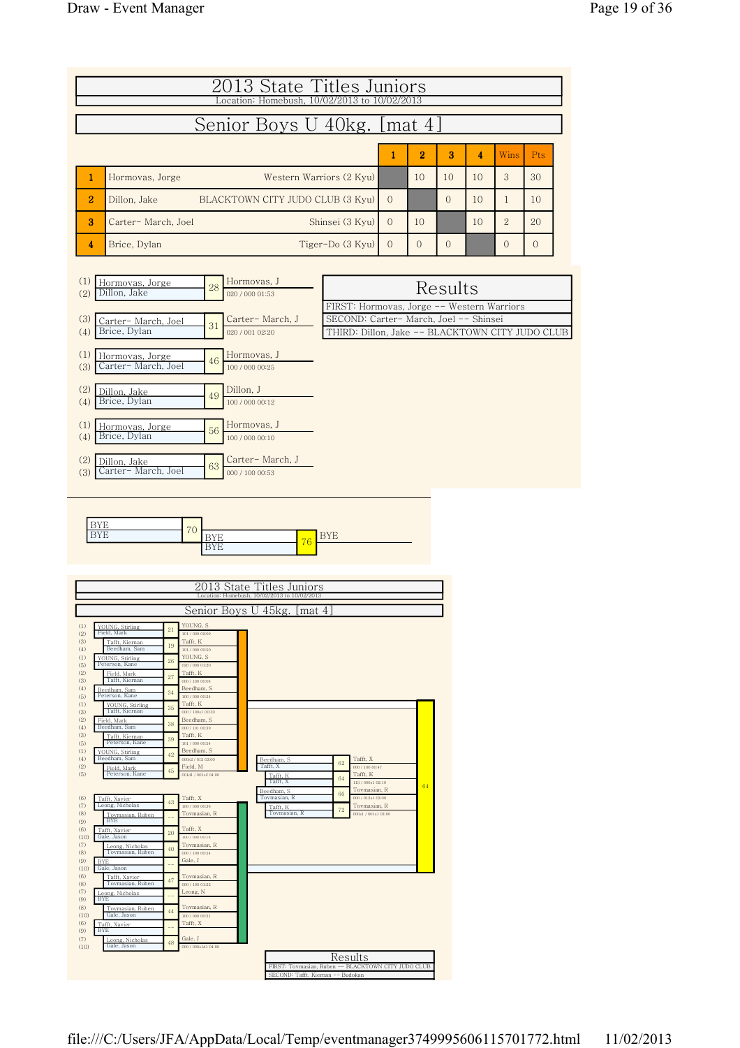| 2013 State Titles Juniors<br>Location: Homebush, 10/02/2013 to 10/02/2013                                                                                                                                                                                                                                                        |          |                |          |    |                |                |
|----------------------------------------------------------------------------------------------------------------------------------------------------------------------------------------------------------------------------------------------------------------------------------------------------------------------------------|----------|----------------|----------|----|----------------|----------------|
| Senior Boys U 40kg. [mat 4]                                                                                                                                                                                                                                                                                                      |          |                |          |    |                |                |
|                                                                                                                                                                                                                                                                                                                                  | 1        | $\overline{2}$ | 3        | 4  | <b>Wins</b>    | <b>Pts</b>     |
| $\mathbf{1}$<br>Hormovas, Jorge<br>Western Warriors (2 Kyu)                                                                                                                                                                                                                                                                      |          | 10             | 10       | 10 | 3              | 30             |
| $\overline{2}$<br>BLACKTOWN CITY JUDO CLUB (3 Kyu)<br>Dillon, Jake                                                                                                                                                                                                                                                               | $\Omega$ |                | $\Omega$ | 10 | 1              | 10             |
| 3<br>Shinsei (3 Kyu)<br>Carter-March, Joel                                                                                                                                                                                                                                                                                       | $\Omega$ | 10             |          | 10 | $\overline{2}$ | 20             |
| Tiger-Do (3 Kyu)<br>Brice, Dylan<br>4                                                                                                                                                                                                                                                                                            | $\Omega$ | $\mathbf{0}$   | $\Omega$ |    | $\Omega$       | $\overline{0}$ |
| Hormovas, J<br>(1)<br>Hormovas, Jorge<br>28<br>Dillon, Jake<br>(2)<br>020 / 000 01:53<br>FIRST: Hormovas, Jorge -- Western Warriors<br>SECOND: Carter- March, Joel -- Shinsei<br>Carter-March, J<br>(3)<br>Carter-March, Joel<br>31<br>Brice, Dylan<br>THIRD: Dillon, Jake -- BLACKTOWN CITY JUDO CLUB<br>(4)<br>020 / 001 02:20 |          |                | Results  |    |                |                |
| Hormovas, J<br>(1)<br>Hormovas, Jorge<br>Carter- March, Joel<br>46<br>100 / 000 00:25<br>(3)                                                                                                                                                                                                                                     |          |                |          |    |                |                |
| (2)<br>Dillon, J<br>Dillon, Jake<br>49<br>Brice, Dylan<br>(4)<br>100 / 000 00:12                                                                                                                                                                                                                                                 |          |                |          |    |                |                |
| Hormovas, J<br>(1)<br>Hormovas, Jorge<br>56<br>Brice, Dylan<br>100 / 000 00:10<br>(4)                                                                                                                                                                                                                                            |          |                |          |    |                |                |
| Carter-March, J<br>(2)<br>Dillon, Jake<br>63<br>Carter- March, Joel<br>(3)<br>000 / 100 00:53                                                                                                                                                                                                                                    |          |                |          |    |                |                |



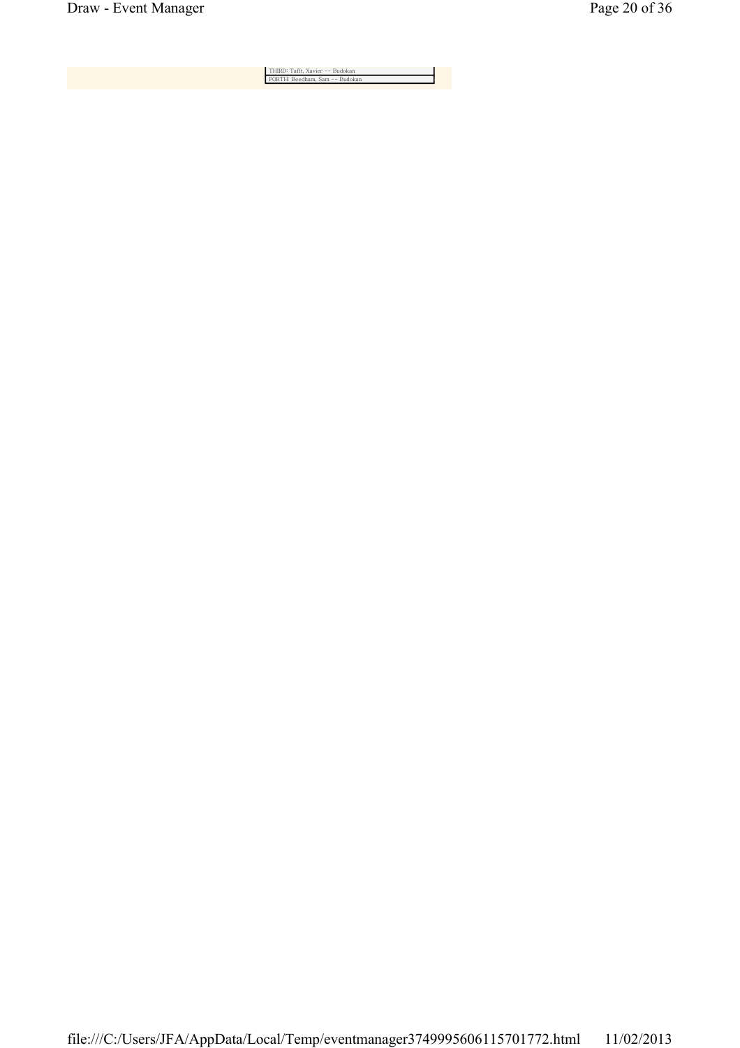THIRD: Tafft, Xavier -- Budokan FORTH: Beedham, Sam -- Budokan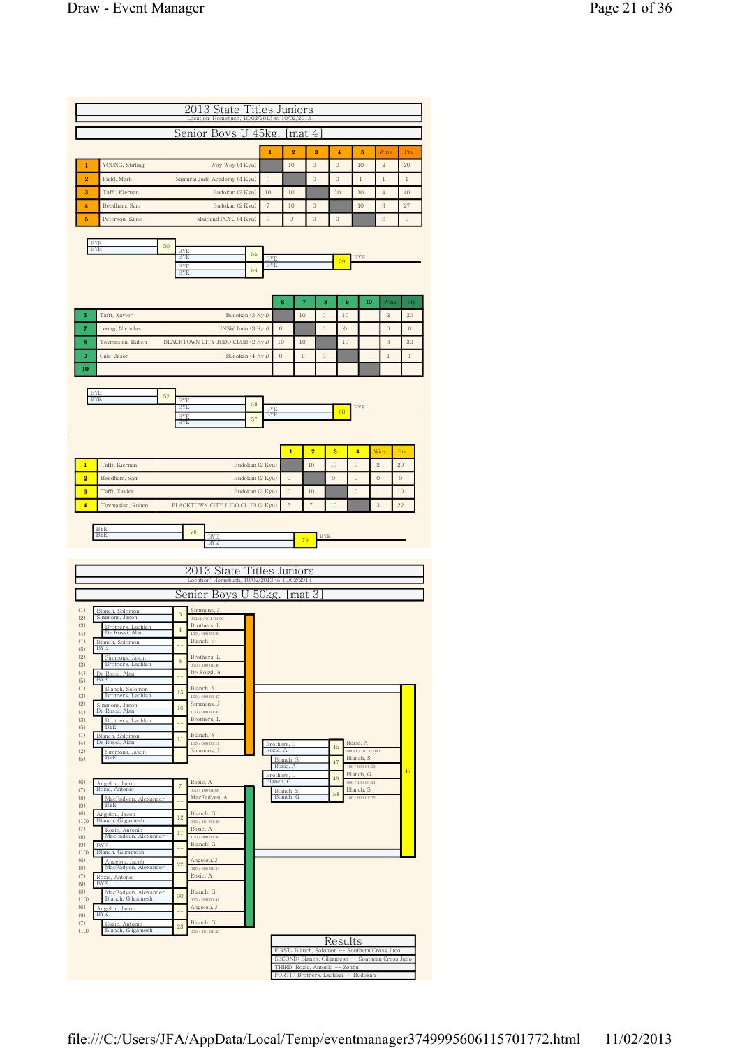|                                                                    |                | Senior Boys U                                                    |                   | $45$ kg.                 |                                    | mat 4                |                   |                  |                                                 |                    |                  |
|--------------------------------------------------------------------|----------------|------------------------------------------------------------------|-------------------|--------------------------|------------------------------------|----------------------|-------------------|------------------|-------------------------------------------------|--------------------|------------------|
|                                                                    |                |                                                                  |                   | 1                        | $\overline{\mathbf{2}}$            |                      | 3                 | 4                | 5                                               | Wins               | Pts              |
| YOUNG, Stirling                                                    |                |                                                                  | Woy Woy (4 Kyu)   |                          | 10                                 | $\circ$              |                   | $\theta$         | $10\,$                                          | $\sqrt{2}$         | 20               |
| Field, Mark                                                        |                | Samurai Judo Academy (4 Kyu)                                     |                   | $\boldsymbol{0}$         |                                    | $\boldsymbol{0}$     |                   | $\boldsymbol{0}$ | $\,1$                                           | $\,1$              | $\,1$            |
| Tafft, Kiernan                                                     |                |                                                                  | Budokan (2 Kyu)   | 10                       | 10                                 |                      |                   | 10               | 10                                              | $\overline{4}$     | 40               |
| Beedham, Sam                                                       |                |                                                                  | Budokan (2 Kyu)   | $\overline{\tau}$        | 10                                 | $\mathbf{0}$         |                   |                  | 10                                              | 3                  | 27               |
| Peterson, Kane                                                     |                | Maitland PCYC (4 Kyu)                                            |                   | $\theta$                 | $\Omega$                           | $\overline{0}$       |                   | $\theta$         |                                                 | $\theta$           | $\mathbf{0}$     |
| <b>BYF</b>                                                         |                |                                                                  |                   |                          |                                    |                      |                   |                  |                                                 |                    |                  |
| <b>BYE</b>                                                         | 50             | <b>BYF</b><br><b>BYE</b>                                         | 55                |                          |                                    |                      |                   |                  |                                                 |                    |                  |
|                                                                    |                | <b>BYE</b>                                                       | 54                | <b>BYE</b><br><b>BYE</b> |                                    |                      |                   | 59               | <b>BYE</b>                                      |                    |                  |
|                                                                    |                | <b>BYE</b>                                                       |                   |                          |                                    |                      |                   |                  |                                                 |                    |                  |
|                                                                    |                |                                                                  |                   |                          |                                    |                      |                   |                  |                                                 |                    |                  |
| Tafft, Xavier                                                      |                |                                                                  | Budokan (3 Kyu)   |                          | 6                                  | 7<br>10              | 8<br>$\mathbf{0}$ | 9<br>10          | 10                                              | Wins<br>$\sqrt{2}$ | Pts<br>20        |
| Leong, Nicholas                                                    |                |                                                                  | UNSW Judo (3 Kyu) |                          | $\Omega$                           |                      | $\overline{0}$    | $\boldsymbol{0}$ |                                                 | $\overline{0}$     | $\theta$         |
| Tovmasian, Ruben                                                   |                | BLACKTOWN CITY JUDO CLUB (2 Kyu)                                 |                   |                          | 10                                 | 10                   |                   | 10               |                                                 | 3                  | 30               |
| Gale, Jason                                                        |                |                                                                  | Budokan (4 Kyu)   |                          | $\boldsymbol{0}$                   | $\mathbf{1}$         | $\mathbf 0$       |                  |                                                 | $\mathbf{1}$       | $\mathbf{1}$     |
|                                                                    |                |                                                                  |                   |                          |                                    |                      |                   |                  |                                                 |                    |                  |
|                                                                    |                |                                                                  |                   |                          |                                    |                      |                   |                  |                                                 |                    |                  |
| <b>BYE</b><br><b>BYE</b>                                           | 52             | <b>BYE</b>                                                       | 58                |                          |                                    |                      |                   |                  |                                                 |                    |                  |
|                                                                    |                | <b>BYE</b><br><b>BYE</b>                                         |                   | <b>BYE</b><br><b>BYE</b> |                                    |                      |                   | 60               | <b>BYE</b>                                      |                    |                  |
|                                                                    |                | <b>BYE</b>                                                       | 57                |                          |                                    |                      |                   |                  |                                                 |                    |                  |
|                                                                    |                |                                                                  |                   |                          |                                    |                      |                   |                  |                                                 |                    |                  |
|                                                                    |                |                                                                  |                   |                          | $\mathbf{1}$                       | $\overline{2}$       |                   | 3                | 4                                               | Wins               | Pts              |
| Tafft, Kiernan                                                     |                |                                                                  | Budokan (2 Kyu)   |                          |                                    | 10                   |                   | 10               | $\theta$                                        | $\sqrt{2}$         | 20               |
| Beedham, Sam                                                       |                |                                                                  | Budokan (2 Kyu)   |                          | $\mathbf{0}$                       |                      |                   | $\Omega$         | $\theta$                                        | $\theta$           | $\boldsymbol{0}$ |
| Tafft, Xavier<br>Tovmasian, Ruben                                  |                | BLACKTOWN CITY JUDO CLUB (2 Kyu)                                 | Budokan (3 Kyu)   |                          | $\boldsymbol{0}$<br>$\overline{5}$ | 10<br>$\overline{7}$ |                   | 10               | $\theta$                                        | $\mathbf{1}$<br>3  | 10<br>22         |
|                                                                    |                |                                                                  |                   |                          |                                    |                      |                   |                  |                                                 |                    |                  |
| BYE<br><b>BYE</b>                                                  |                | 78                                                               |                   |                          |                                    |                      |                   |                  |                                                 |                    |                  |
|                                                                    |                | <b>BYE</b><br><b>BYE</b>                                         |                   |                          |                                    |                      | <b>BYE</b>        |                  |                                                 |                    |                  |
|                                                                    |                |                                                                  |                   |                          |                                    | 79                   |                   |                  |                                                 |                    |                  |
|                                                                    |                |                                                                  |                   |                          |                                    |                      |                   |                  |                                                 |                    |                  |
|                                                                    |                | 3<br>State                                                       |                   |                          | Titles Juniors                     |                      |                   |                  |                                                 |                    |                  |
|                                                                    |                | Location: Homebush, 10/02/2013 to 10/02/2013                     |                   |                          |                                    |                      |                   |                  |                                                 |                    |                  |
|                                                                    |                | Senior Boys U                                                    |                   | $50$ $kg.$               |                                    | mat                  | 3                 |                  |                                                 |                    |                  |
| Blanch, Solomon<br>Simmons, Jason                                  | $\sqrt{3}$     | Simmons, J<br>001s2 / 011 03:00                                  |                   |                          |                                    |                      |                   |                  |                                                 |                    |                  |
| Brothers, Lachlan<br>De Rossi, Alan                                | $\overline{4}$ | Brothers, L<br>$100$ / $000$ $00\!\!:\!\!29$                     |                   |                          |                                    |                      |                   |                  |                                                 |                    |                  |
| Blanch, Solomon<br>BYE                                             |                | Blanch, S                                                        |                   |                          |                                    |                      |                   |                  |                                                 |                    |                  |
| Simmons, Jason<br>Brothers, Lachlan                                | $\,$ 8 $\,$    | Brothers, L<br>000 / 100 01:46                                   |                   |                          |                                    |                      |                   |                  |                                                 |                    |                  |
| De Rossi, Alan<br><b>BYE</b>                                       |                | De Rossi A                                                       |                   |                          |                                    |                      |                   |                  |                                                 |                    |                  |
| Blanch, Solomon<br>Brothers, Lachlan                               | 15             | Blanch, S<br>100 / 000 00:47                                     |                   |                          |                                    |                      |                   |                  |                                                 |                    |                  |
|                                                                    | 16             | Simmons, J                                                       |                   |                          |                                    |                      |                   |                  |                                                 |                    |                  |
| Simmons, Jason<br>De Rossi, Alan<br>Brothers, Lachlan              |                | $100\; / \;000\; 00\mathord{:}45$<br>Brothers, L                 |                   |                          |                                    |                      |                   |                  |                                                 |                    |                  |
| <b>BYE</b><br>Blanch, Solomon                                      | 11             | Blanch, S                                                        |                   |                          |                                    |                      |                   |                  |                                                 |                    |                  |
| De Rossi, Alan<br>Simmons, Jason                                   |                | 100 / 000 00:11<br>Simmons, J                                    |                   | Brothers.<br>Rozic, A    |                                    |                      |                   | 45               | Rozic, A<br>$000{\rm s}1$ / $011$ $03{\rm :}00$ |                    |                  |
| <b>BYE</b>                                                         |                |                                                                  |                   |                          | Blanch, S<br>Rozic, A              |                      |                   | 47               | Blanch, S<br>100/00001:05                       |                    |                  |
|                                                                    |                | Rozic, A                                                         |                   | Blanch, G                | Brothers, L                        |                      |                   | 49               | Blanch, G<br>000 / 100 00:44                    |                    | 47               |
| Angelou, Jacob<br>Rozic, Antonio                                   | $\overline{7}$ | 000 / 100 01:06                                                  |                   |                          | Blanch, S.                         |                      |                   | 54               | Blanch, S                                       |                    |                  |
| MacFadyen, Alexander<br><b>BYE</b>                                 |                | MacFadyen, A                                                     |                   |                          | Blanch, G                          |                      |                   |                  | $100\,/\,000\,01\05$                            |                    |                  |
| Angelou, Jacob<br>Blanch, Gilgamesh                                | 12             | Blanch, G<br>000 / 101 00:40                                     |                   |                          |                                    |                      |                   |                  |                                                 |                    |                  |
| Rozic<br>Antonio<br>MacFadyen, Alexander                           | 17             | Rozic, A<br>$100\; / \;000\; 00\rlap{.}^\text{\phantom{1}}{.}44$ |                   |                          |                                    |                      |                   |                  |                                                 |                    |                  |
| <b>BYE</b><br>Blanch, Gilgamesh                                    |                | Blanch, G                                                        |                   |                          |                                    |                      |                   |                  |                                                 |                    |                  |
| Angelou, Jacob                                                     | 22             | Angelou, J                                                       |                   |                          |                                    |                      |                   |                  |                                                 |                    |                  |
| MacFadyen, Alexander<br>Rozic, Antonio                             |                | 020 / 000 01:24<br>Rozic, A                                      |                   |                          |                                    |                      |                   |                  |                                                 |                    |                  |
| <b>BYE</b><br>MacFadyen, Alexander                                 |                | Blanch, G                                                        |                   |                          |                                    |                      |                   |                  |                                                 |                    |                  |
| Blanch, Gilgamesh                                                  | 30             | 000/02000:41<br>Angelou, J                                       |                   |                          |                                    |                      |                   |                  |                                                 |                    |                  |
| ngelou, Jacob<br><b>BYE</b><br>Rozic, Antonio<br>Blanch, Gilgamesh | 23             | Blanch, G                                                        |                   |                          |                                    |                      |                   |                  |                                                 |                    |                  |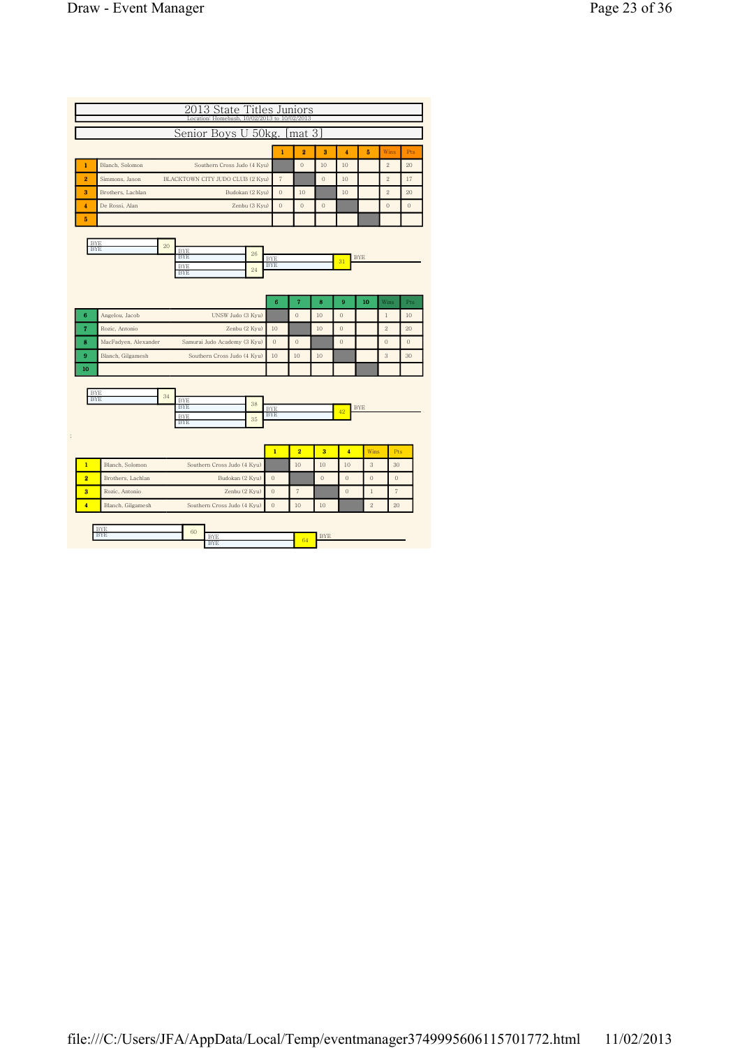|                      |                                |                                | $\mathbf{1}$             | $\overline{2}$                                                                                                                                               | 3           | $\overline{4}$                                                              | 5              | Wins           | Pts                        |
|----------------------|--------------------------------|--------------------------------|--------------------------|--------------------------------------------------------------------------------------------------------------------------------------------------------------|-------------|-----------------------------------------------------------------------------|----------------|----------------|----------------------------|
| Blanch, Solomon      |                                |                                |                          | $\overline{0}$                                                                                                                                               | 10          | 10                                                                          |                | $\overline{2}$ | 20                         |
| Simmons, Jason       |                                |                                | $\sqrt{7}$               |                                                                                                                                                              | $\theta$    | 10                                                                          |                | $\overline{2}$ | 17                         |
| Brothers, Lachlan    |                                |                                | $\mathbf{0}$             | 10                                                                                                                                                           |             | 10                                                                          |                | $\overline{2}$ | 20                         |
| De Rossi, Alan       |                                |                                | $\mathbf{0}$             | $\overline{0}$                                                                                                                                               | $\theta$    |                                                                             |                | $\theta$       | $\mathbf{0}$               |
|                      |                                |                                |                          |                                                                                                                                                              |             |                                                                             |                |                |                            |
|                      |                                |                                |                          |                                                                                                                                                              |             |                                                                             |                |                |                            |
| <b>BYE</b>           | <b>BYE</b>                     |                                |                          |                                                                                                                                                              |             |                                                                             |                |                |                            |
|                      | <b>BYE</b>                     |                                |                          |                                                                                                                                                              |             | 31                                                                          |                |                |                            |
|                      |                                |                                |                          |                                                                                                                                                              |             |                                                                             |                |                |                            |
|                      |                                |                                |                          |                                                                                                                                                              |             |                                                                             |                |                |                            |
|                      |                                |                                | 6                        | 7                                                                                                                                                            | 8           | 9                                                                           | 10             | Wins           | Pts                        |
|                      |                                |                                |                          |                                                                                                                                                              |             |                                                                             |                |                |                            |
| Angelou, Jacob       | UNSW Judo (3 Kyu)              |                                |                          | $\overline{0}$                                                                                                                                               | 10          | $\mathbf{0}$                                                                |                | $\,1$          |                            |
| Rozic, Antonio       | Zenbu (2 Kyu)                  |                                | 10                       |                                                                                                                                                              | 10          | $\mathbf{0}$                                                                |                | $\overline{2}$ |                            |
| MacFadyen, Alexander | Samurai Judo Academy (3 Kyu)   |                                | $\Omega$                 | $\overline{0}$                                                                                                                                               |             | $\Omega$                                                                    |                | $\theta$       |                            |
| Blanch, Gilgamesh    | Southern Cross Judo (4 Kyu)    |                                | 10                       | 10                                                                                                                                                           | 10          |                                                                             |                | 3              |                            |
|                      |                                |                                |                          |                                                                                                                                                              |             |                                                                             |                |                |                            |
| <b>BYE</b>           |                                |                                |                          |                                                                                                                                                              |             |                                                                             |                |                |                            |
| <b>BYE</b>           | 34<br><b>BYE</b><br><b>BYE</b> | 38                             |                          |                                                                                                                                                              |             |                                                                             |                |                |                            |
|                      | <b>BYE</b>                     | 35                             | <b>BYE</b><br><b>BYE</b> |                                                                                                                                                              |             | 42                                                                          | <b>BYE</b>     |                |                            |
|                      | <b>BYE</b>                     |                                |                          |                                                                                                                                                              |             |                                                                             |                |                |                            |
|                      |                                |                                |                          |                                                                                                                                                              |             |                                                                             |                |                |                            |
| Blanch, Solomon      | Southern Cross Judo (4 Kyu)    |                                | $\overline{1}$           | $\overline{2}$<br>10                                                                                                                                         | 3<br>10     | $\overline{4}$<br>10                                                        | Wins<br>3      | 30             | Pts                        |
| Brothers, Lachlan    | Budokan (2 Kyu)                |                                | $\overline{0}$           |                                                                                                                                                              | $\mathbf 0$ | $\overline{0}$                                                              | $\overline{0}$ | $\theta$       |                            |
| Rozic, Antonio       | Zenbu (2 Kyu)                  |                                | $\overline{0}$           | $\overline{7}$                                                                                                                                               |             | $\overline{0}$                                                              | $\mathbf{1}$   | $\overline{7}$ | 10<br>20<br>$\theta$<br>30 |
|                      | <b>BYE</b>                     | 20<br><b>BYE</b><br><b>BYE</b> | 26<br>24                 | 2013 State Titles Juniors<br>Southern Cross Judo (4 Kyu)<br>BLACKTOWN CITY JUDO CLUB (2 Kyu)<br>Budokan (2 Kyu)<br>Zenbu (3 Kyu)<br><b>BYE</b><br><b>BYE</b> |             | Location: Homebush, 10/02/2013 to 10/02/2013<br>Senior Boys U 50kg. [mat 3] |                | <b>BYE</b>     |                            |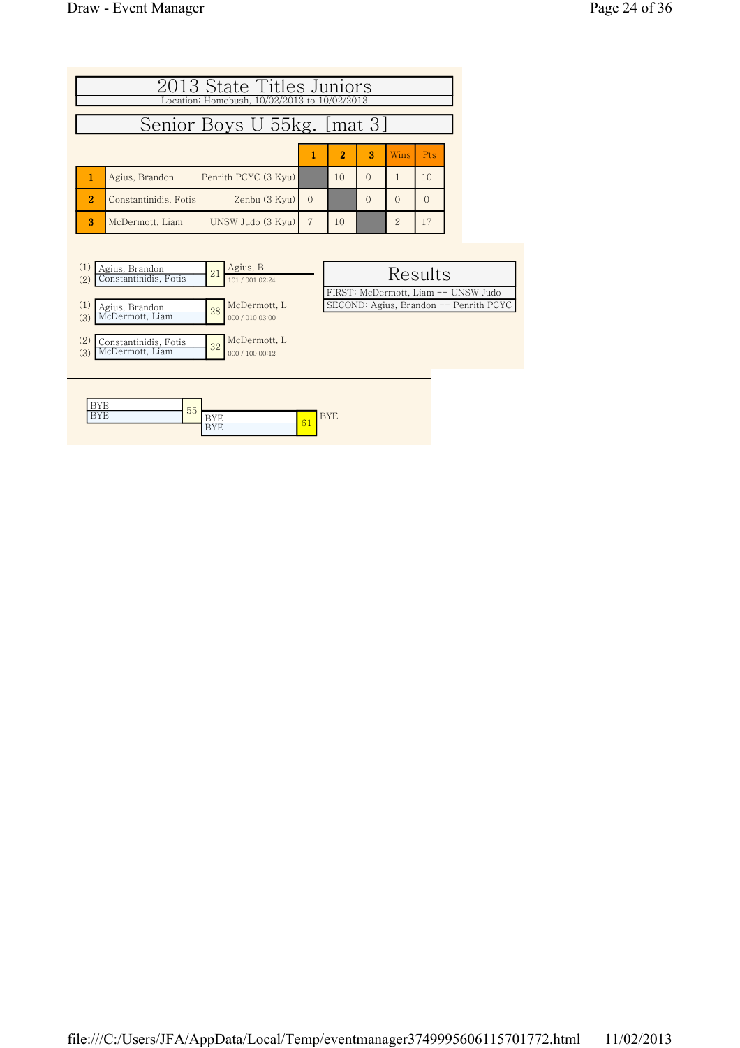| 2013 State Titles Juniors<br>Location: Homebush, 10/02/2013 to 10/02/2013<br>Senior Boys U 55kg. [mat 3] |                                                                         |          |    |          |                |          |  |  |  |  |  |
|----------------------------------------------------------------------------------------------------------|-------------------------------------------------------------------------|----------|----|----------|----------------|----------|--|--|--|--|--|
| $\overline{2}$<br>3<br>Pts<br>Wins<br>1                                                                  |                                                                         |          |    |          |                |          |  |  |  |  |  |
| 1                                                                                                        | Penrith PCYC (3 Kyu)<br>Agius, Brandon                                  |          | 10 | $\Omega$ | $\mathbf{1}$   | 10       |  |  |  |  |  |
| $\overline{2}$                                                                                           | Zenbu (3 Kyu)<br>Constantinidis, Fotis                                  | $\Omega$ |    | $\Omega$ | $\Omega$       | $\Omega$ |  |  |  |  |  |
| 3                                                                                                        | UNSW Judo (3 Kyu)<br>McDermott, Liam                                    | 7        | 10 |          | $\overline{2}$ | 17       |  |  |  |  |  |
|                                                                                                          |                                                                         |          |    |          |                |          |  |  |  |  |  |
| (1)<br>(2)                                                                                               | Agius, B<br>Agius, Brandon<br>21<br>Constantinidis Fotis<br>101/0010994 |          |    |          |                | Results  |  |  |  |  |  |

| Agius, Brandon<br>Constantinidis, Fotis<br>(2) | 21 | Agius, B<br>101 / 001 02:24 | Results                                |
|------------------------------------------------|----|-----------------------------|----------------------------------------|
|                                                |    |                             | FIRST: McDermott, Liam -- UNSW Judo    |
| (1)<br>Agius, Brandon                          | 28 | McDermott, L                | SECOND: Agius, Brandon -- Penrith PCYC |
| McDermott, Liam<br>(3)                         |    | 000 / 010 03:00             |                                        |
|                                                |    |                             |                                        |
| (2)<br>Constantinidis, Fotis                   | 32 | McDermott, L                |                                        |
| McDermott, Liam<br>(3)                         |    | 000 / 100 00:12             |                                        |
|                                                |    |                             |                                        |
|                                                |    |                             |                                        |

| <br>-                        | 55 |           |                    |          |
|------------------------------|----|-----------|--------------------|----------|
| $- - - -$<br>. .<br><b>.</b> |    |           | $\sim$ $\sim$<br>- | . .<br>∸ |
|                              |    | - 11<br>∸ | v                  |          |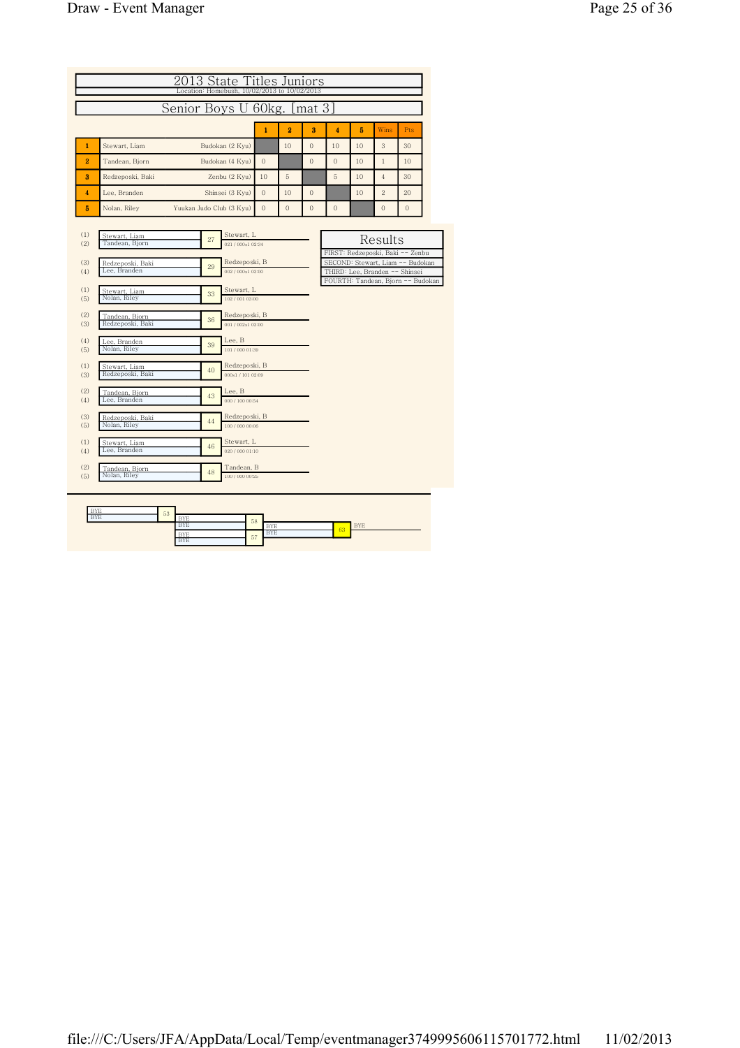| Senior Boys U 60kg. [mat 3]<br>$\overline{2}$<br>$\mathbf{1}$<br>3<br>$\overline{\mathbf{4}}$<br>5<br>Wins<br>Pts<br>Stewart, Liam<br>$\mathbf{1}$<br>Budokan (2 Kyu)<br>10<br>$\mathbf{0}$<br>10<br>10<br>3<br>30<br>2<br>$\Omega$<br>$\overline{0}$<br>$\overline{0}$<br>Tandean, Bjorn<br>Budokan (4 Kyu)<br>10<br>$\mathbf{1}$<br>10<br>3<br>Zenbu (2 Kyu)<br>10<br>5<br>5<br>10<br>$\overline{4}$<br>Redzeposki, Baki<br>30<br>$\Omega$<br>$\mathbf{0}$<br>$\overline{2}$<br>$\overline{\bf{4}}$<br>Lee, Branden<br>Shinsei (3 Kyu)<br>10<br>10<br>20<br>5<br>$\overline{0}$<br>$\overline{0}$<br>$\mathbf{0}$<br>$\mathbf{0}$<br>$\overline{0}$<br>Nolan, Riley<br>Yuukan Judo Club (3 Kyu)<br>$\Omega$<br>(1)<br>Stewart, L<br>Stewart, Liam<br>Results<br>27<br>Tandean, Bjorn<br>021/000s102:34<br>(2)<br>FIRST: Redzeposki, Baki -- Zenbu<br>SECOND: Stewart, Liam -- Budokan<br>(3)<br>Redzeposki, B<br>Redzeposki, Baki<br>29<br>Lee, Branden<br>THIRD: Lee, Branden -- Shinsei<br>(4)<br>002 / 000s1 03:00<br>FOURTH: Tandean, Bjorn -- Budokan<br>(1)<br>Stewart, L<br>Stewart, Liam<br>33<br>Nolan, Riley<br>102/001 03:00<br>(5)<br>(2)<br>Redzeposki, B<br>Tandean, Bjorn<br>36<br>Redzeposki, Baki<br>001/002s1 03:00<br>(3)<br>(4)<br>Lee, B<br>Lee. Branden<br>39<br>Nolan, Riley<br>101 / 000 01:39<br>(5)<br>(1)<br>Redzeposki, B<br>Stewart, Liam<br>40<br>Redzeposki, Baki<br>000s1 / 101 02:09<br>(3)<br>(2)<br>Lee, B<br>Tandean, Bjorn<br>43<br>Lee. Branden<br>(4)<br>000 / 100 00:54<br>(3)<br>Redzeposki, B<br>Redzeposki, Baki<br>44<br>Nolan, Riley<br>100 / 000 00:06<br>(5)<br>(1)<br>Stewart, L<br>Stewart, Liam<br>46<br>Lee, Branden<br>(4)<br>020 / 000 01:10<br>(2)<br>Tandean, B<br>Tandean, Bjorn<br>48<br>Nolan, Riley<br>100 / 000 00:25<br>(5) |  | 2013 State Titles Juniors<br>Location: Homebush. 10/02/2013 to 10/02/2013 |  |  |  |  |
|--------------------------------------------------------------------------------------------------------------------------------------------------------------------------------------------------------------------------------------------------------------------------------------------------------------------------------------------------------------------------------------------------------------------------------------------------------------------------------------------------------------------------------------------------------------------------------------------------------------------------------------------------------------------------------------------------------------------------------------------------------------------------------------------------------------------------------------------------------------------------------------------------------------------------------------------------------------------------------------------------------------------------------------------------------------------------------------------------------------------------------------------------------------------------------------------------------------------------------------------------------------------------------------------------------------------------------------------------------------------------------------------------------------------------------------------------------------------------------------------------------------------------------------------------------------------------------------------------------------------------------------------------------------------------------------------------------------------------------------------------------------------------------------------|--|---------------------------------------------------------------------------|--|--|--|--|
|                                                                                                                                                                                                                                                                                                                                                                                                                                                                                                                                                                                                                                                                                                                                                                                                                                                                                                                                                                                                                                                                                                                                                                                                                                                                                                                                                                                                                                                                                                                                                                                                                                                                                                                                                                                            |  |                                                                           |  |  |  |  |
|                                                                                                                                                                                                                                                                                                                                                                                                                                                                                                                                                                                                                                                                                                                                                                                                                                                                                                                                                                                                                                                                                                                                                                                                                                                                                                                                                                                                                                                                                                                                                                                                                                                                                                                                                                                            |  |                                                                           |  |  |  |  |
|                                                                                                                                                                                                                                                                                                                                                                                                                                                                                                                                                                                                                                                                                                                                                                                                                                                                                                                                                                                                                                                                                                                                                                                                                                                                                                                                                                                                                                                                                                                                                                                                                                                                                                                                                                                            |  |                                                                           |  |  |  |  |
|                                                                                                                                                                                                                                                                                                                                                                                                                                                                                                                                                                                                                                                                                                                                                                                                                                                                                                                                                                                                                                                                                                                                                                                                                                                                                                                                                                                                                                                                                                                                                                                                                                                                                                                                                                                            |  |                                                                           |  |  |  |  |
|                                                                                                                                                                                                                                                                                                                                                                                                                                                                                                                                                                                                                                                                                                                                                                                                                                                                                                                                                                                                                                                                                                                                                                                                                                                                                                                                                                                                                                                                                                                                                                                                                                                                                                                                                                                            |  |                                                                           |  |  |  |  |
|                                                                                                                                                                                                                                                                                                                                                                                                                                                                                                                                                                                                                                                                                                                                                                                                                                                                                                                                                                                                                                                                                                                                                                                                                                                                                                                                                                                                                                                                                                                                                                                                                                                                                                                                                                                            |  |                                                                           |  |  |  |  |
|                                                                                                                                                                                                                                                                                                                                                                                                                                                                                                                                                                                                                                                                                                                                                                                                                                                                                                                                                                                                                                                                                                                                                                                                                                                                                                                                                                                                                                                                                                                                                                                                                                                                                                                                                                                            |  |                                                                           |  |  |  |  |
|                                                                                                                                                                                                                                                                                                                                                                                                                                                                                                                                                                                                                                                                                                                                                                                                                                                                                                                                                                                                                                                                                                                                                                                                                                                                                                                                                                                                                                                                                                                                                                                                                                                                                                                                                                                            |  |                                                                           |  |  |  |  |
|                                                                                                                                                                                                                                                                                                                                                                                                                                                                                                                                                                                                                                                                                                                                                                                                                                                                                                                                                                                                                                                                                                                                                                                                                                                                                                                                                                                                                                                                                                                                                                                                                                                                                                                                                                                            |  |                                                                           |  |  |  |  |
|                                                                                                                                                                                                                                                                                                                                                                                                                                                                                                                                                                                                                                                                                                                                                                                                                                                                                                                                                                                                                                                                                                                                                                                                                                                                                                                                                                                                                                                                                                                                                                                                                                                                                                                                                                                            |  |                                                                           |  |  |  |  |
|                                                                                                                                                                                                                                                                                                                                                                                                                                                                                                                                                                                                                                                                                                                                                                                                                                                                                                                                                                                                                                                                                                                                                                                                                                                                                                                                                                                                                                                                                                                                                                                                                                                                                                                                                                                            |  |                                                                           |  |  |  |  |
|                                                                                                                                                                                                                                                                                                                                                                                                                                                                                                                                                                                                                                                                                                                                                                                                                                                                                                                                                                                                                                                                                                                                                                                                                                                                                                                                                                                                                                                                                                                                                                                                                                                                                                                                                                                            |  |                                                                           |  |  |  |  |
|                                                                                                                                                                                                                                                                                                                                                                                                                                                                                                                                                                                                                                                                                                                                                                                                                                                                                                                                                                                                                                                                                                                                                                                                                                                                                                                                                                                                                                                                                                                                                                                                                                                                                                                                                                                            |  |                                                                           |  |  |  |  |
|                                                                                                                                                                                                                                                                                                                                                                                                                                                                                                                                                                                                                                                                                                                                                                                                                                                                                                                                                                                                                                                                                                                                                                                                                                                                                                                                                                                                                                                                                                                                                                                                                                                                                                                                                                                            |  |                                                                           |  |  |  |  |
|                                                                                                                                                                                                                                                                                                                                                                                                                                                                                                                                                                                                                                                                                                                                                                                                                                                                                                                                                                                                                                                                                                                                                                                                                                                                                                                                                                                                                                                                                                                                                                                                                                                                                                                                                                                            |  |                                                                           |  |  |  |  |
|                                                                                                                                                                                                                                                                                                                                                                                                                                                                                                                                                                                                                                                                                                                                                                                                                                                                                                                                                                                                                                                                                                                                                                                                                                                                                                                                                                                                                                                                                                                                                                                                                                                                                                                                                                                            |  |                                                                           |  |  |  |  |
|                                                                                                                                                                                                                                                                                                                                                                                                                                                                                                                                                                                                                                                                                                                                                                                                                                                                                                                                                                                                                                                                                                                                                                                                                                                                                                                                                                                                                                                                                                                                                                                                                                                                                                                                                                                            |  |                                                                           |  |  |  |  |
|                                                                                                                                                                                                                                                                                                                                                                                                                                                                                                                                                                                                                                                                                                                                                                                                                                                                                                                                                                                                                                                                                                                                                                                                                                                                                                                                                                                                                                                                                                                                                                                                                                                                                                                                                                                            |  |                                                                           |  |  |  |  |
|                                                                                                                                                                                                                                                                                                                                                                                                                                                                                                                                                                                                                                                                                                                                                                                                                                                                                                                                                                                                                                                                                                                                                                                                                                                                                                                                                                                                                                                                                                                                                                                                                                                                                                                                                                                            |  |                                                                           |  |  |  |  |
|                                                                                                                                                                                                                                                                                                                                                                                                                                                                                                                                                                                                                                                                                                                                                                                                                                                                                                                                                                                                                                                                                                                                                                                                                                                                                                                                                                                                                                                                                                                                                                                                                                                                                                                                                                                            |  |                                                                           |  |  |  |  |
|                                                                                                                                                                                                                                                                                                                                                                                                                                                                                                                                                                                                                                                                                                                                                                                                                                                                                                                                                                                                                                                                                                                                                                                                                                                                                                                                                                                                                                                                                                                                                                                                                                                                                                                                                                                            |  |                                                                           |  |  |  |  |
|                                                                                                                                                                                                                                                                                                                                                                                                                                                                                                                                                                                                                                                                                                                                                                                                                                                                                                                                                                                                                                                                                                                                                                                                                                                                                                                                                                                                                                                                                                                                                                                                                                                                                                                                                                                            |  |                                                                           |  |  |  |  |
|                                                                                                                                                                                                                                                                                                                                                                                                                                                                                                                                                                                                                                                                                                                                                                                                                                                                                                                                                                                                                                                                                                                                                                                                                                                                                                                                                                                                                                                                                                                                                                                                                                                                                                                                                                                            |  |                                                                           |  |  |  |  |
|                                                                                                                                                                                                                                                                                                                                                                                                                                                                                                                                                                                                                                                                                                                                                                                                                                                                                                                                                                                                                                                                                                                                                                                                                                                                                                                                                                                                                                                                                                                                                                                                                                                                                                                                                                                            |  |                                                                           |  |  |  |  |
|                                                                                                                                                                                                                                                                                                                                                                                                                                                                                                                                                                                                                                                                                                                                                                                                                                                                                                                                                                                                                                                                                                                                                                                                                                                                                                                                                                                                                                                                                                                                                                                                                                                                                                                                                                                            |  |                                                                           |  |  |  |  |

| <b>BYE</b> | 53 |                      |    |            |    |            |
|------------|----|----------------------|----|------------|----|------------|
| <b>BYE</b> |    | <b>TAXZES</b><br>BYE | 58 |            |    |            |
|            |    | <b>VSS21</b><br>BYE  |    | <b>BYE</b> |    | DVD<br>DIE |
|            |    | <b>BYE</b>           | 57 | <b>BYE</b> | 63 |            |
|            |    | <b>BYE</b>           |    |            |    |            |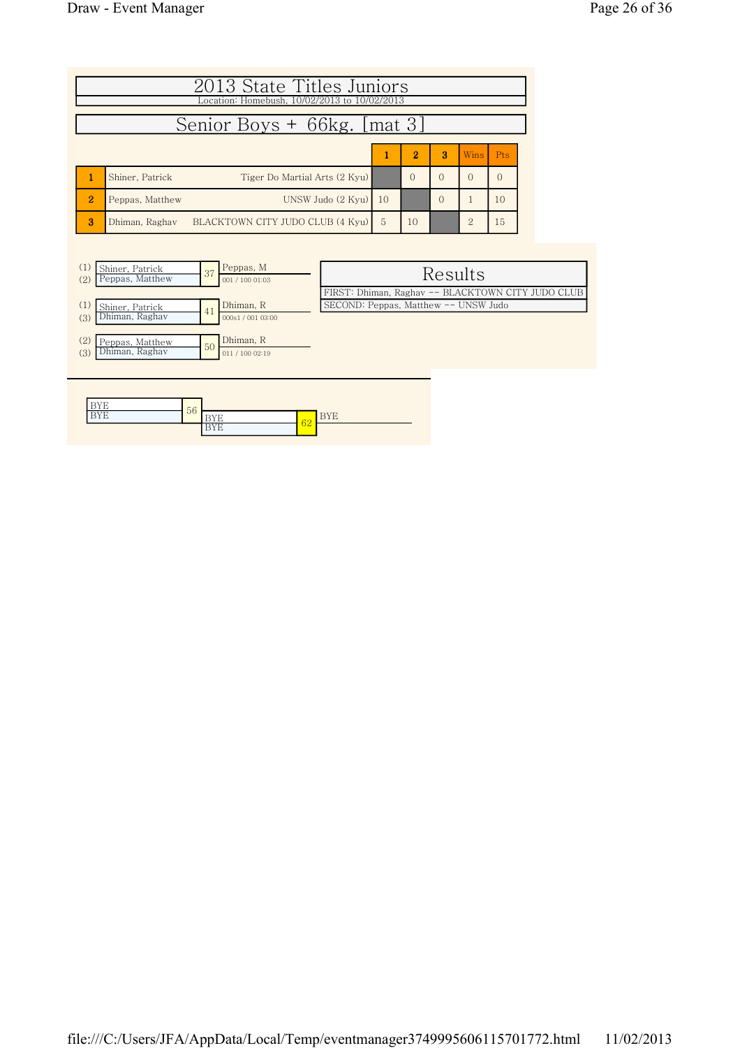|                | 2013 State Titles Juniors<br>Location: Homebush, 10/02/2013 to 10/02/2013 |    |                |          |               |            |  |  |  |  |  |
|----------------|---------------------------------------------------------------------------|----|----------------|----------|---------------|------------|--|--|--|--|--|
|                | Senior Boys + 66kg. [mat 3]                                               |    |                |          |               |            |  |  |  |  |  |
|                |                                                                           |    | $\overline{2}$ | 3        | Wins.         | <b>Pts</b> |  |  |  |  |  |
|                | Tiger Do Martial Arts (2 Kyu)<br>Shiner, Patrick                          |    | $\Omega$       | $\Omega$ | $\Omega$      | ∩          |  |  |  |  |  |
| $\overline{2}$ | UNSW Judo (2 Kyu)<br>Peppas, Matthew                                      | 10 |                | $\Omega$ |               | 10         |  |  |  |  |  |
| 3              | BLACKTOWN CITY JUDO CLUB (4 Kyu)<br>Dhiman, Raghay                        | 5  | 10             |          | $\mathcal{P}$ | 15         |  |  |  |  |  |



| Results                                           |
|---------------------------------------------------|
| FIRST: Dhiman, Raghav -- BLACKTOWN CITY JUDO CLUB |
| SECOND: Peppas, Matthew -- UNSW Judo              |
|                                                   |
|                                                   |
|                                                   |
|                                                   |

| $-$ | 56 |          |                           |                 |
|-----|----|----------|---------------------------|-----------------|
| 1 E |    | -        | $\mathbb{C}^{\mathbb{C}}$ | $-$<br><u>.</u> |
|     |    | . .<br>Ð | υZ                        |                 |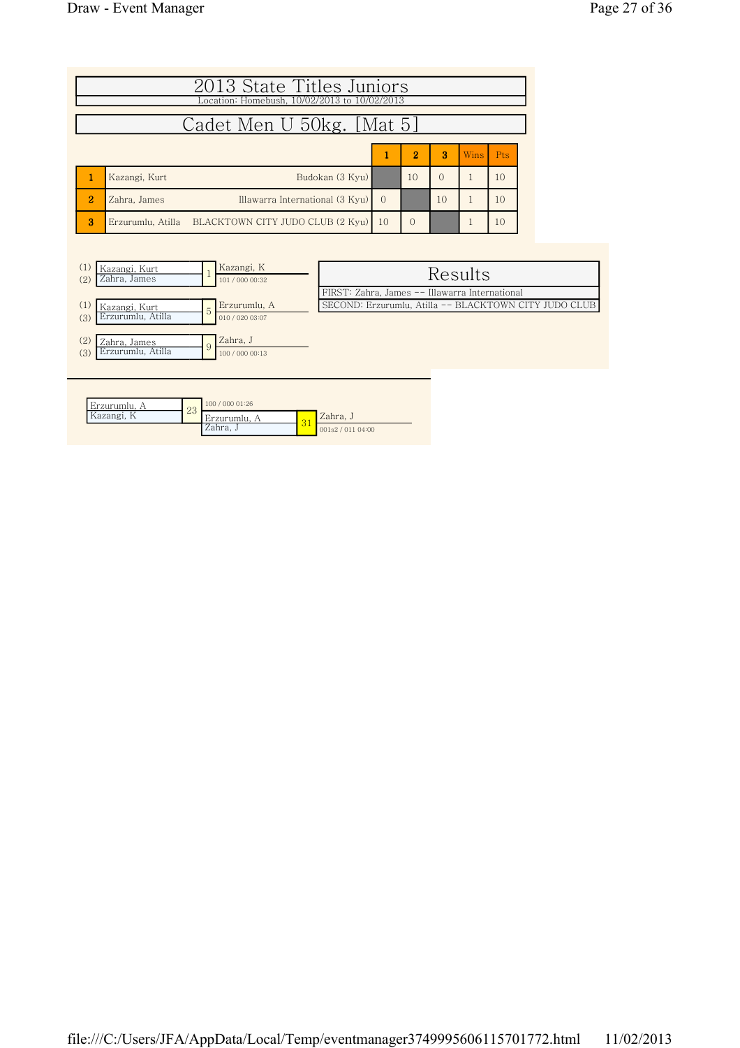|                           | 2013 State Titles Juniors<br>Location: Homebush, 10/02/2013 to 10/02/2013 |          |          |          |  |    |  |  |  |  |
|---------------------------|---------------------------------------------------------------------------|----------|----------|----------|--|----|--|--|--|--|
| Cadet Men U 50kg. [Mat 5] |                                                                           |          |          |          |  |    |  |  |  |  |
|                           | $\overline{2}$<br>$\mathbf{R}$<br><b>Pts</b><br><b>Wins</b>               |          |          |          |  |    |  |  |  |  |
|                           | Budokan (3 Kyu)<br>Kazangi, Kurt                                          |          | 10       | $\Omega$ |  | 10 |  |  |  |  |
| $\overline{2}$            | Illawarra International (3 Kyu)<br>Zahra, James                           | $\Omega$ |          | 10       |  | 10 |  |  |  |  |
| 3                         | Erzurumlu, Atilla BLACKTOWN CITY JUDO CLUB (2 Kyu)                        | 10       | $\Omega$ |          |  | 10 |  |  |  |  |



| Erzurumlu. | $\Omega$            | 100 / 000 01:26 |        |                 |  |  |  |
|------------|---------------------|-----------------|--------|-----------------|--|--|--|
| Kazangi, K | $\overline{\omega}$ | Erzurumlu.      | $\sim$ | Zahra. J        |  |  |  |
|            |                     | Zahra. J        | ◡      | 001s2/011 04:00 |  |  |  |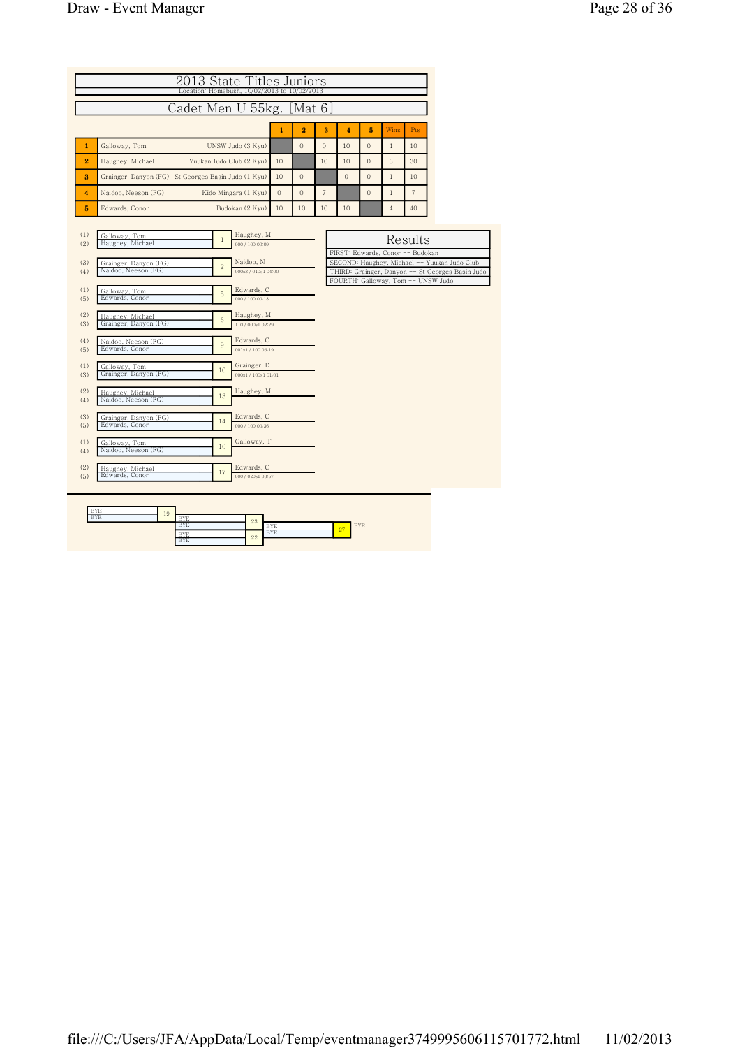|                |                                                                                | 2013 State Titles Juniors<br>Location: Homebush, 10/02/2013 to 10/02/2013 |                                                                                                                                                                            |                          |                |                |                     |                |                |                |  |
|----------------|--------------------------------------------------------------------------------|---------------------------------------------------------------------------|----------------------------------------------------------------------------------------------------------------------------------------------------------------------------|--------------------------|----------------|----------------|---------------------|----------------|----------------|----------------|--|
|                |                                                                                | Cadet Men U 55kg. [Mat 6]                                                 |                                                                                                                                                                            |                          |                |                |                     |                |                |                |  |
|                |                                                                                |                                                                           |                                                                                                                                                                            | $\mathbf{1}$             | $\overline{2}$ | 3              | $\overline{\bf{4}}$ | 5              | <b>Wins</b>    | Pts            |  |
| $\mathbf{1}$   | Galloway, Tom                                                                  |                                                                           | UNSW Judo (3 Kvu)                                                                                                                                                          |                          | $\overline{0}$ | $\Omega$       | 10                  | $\Omega$       | $\mathbf{1}$   | 10             |  |
| $\overline{2}$ | Haughey, Michael                                                               | Yuukan Judo Club (2 Kyu)                                                  |                                                                                                                                                                            | 10                       |                | 10             | 10                  | $\overline{0}$ | 3              | 30             |  |
| 3              | Grainger, Danyon (FG) St Georges Basin Judo (1 Kyu)                            |                                                                           |                                                                                                                                                                            | 10                       | $\Omega$       |                | $\Omega$            | $\overline{0}$ | $\mathbf{1}$   | 10             |  |
| 4              | Naidoo, Neeson (FG)                                                            | Kido Mingara (1 Kyu)                                                      |                                                                                                                                                                            | $\Omega$                 | $\overline{0}$ | $\overline{7}$ |                     | $\overline{0}$ | $\mathbf{1}$   | $\overline{7}$ |  |
| 5              | Edwards, Conor                                                                 |                                                                           | Budokan (2 Kyu)                                                                                                                                                            | 10                       | 10             | 10             | 10                  |                | $\overline{4}$ | 40             |  |
| (1)<br>(2)     | Galloway, Tom<br>Haughey, Michael                                              | $\mathbf{1}$                                                              | Haughey, M<br>000 / 100 00:09                                                                                                                                              |                          |                |                |                     |                |                | Results        |  |
| (3)<br>(4)     | Grainger, Danyon (FG)<br>Naidoo, Neeson (FG)                                   |                                                                           | FIRST: Edwards, Conor -- Budokan<br>SECOND: Haughey, Michael -- Yuukan Judo Club<br>THIRD: Grainger, Danyon -- St Georges Basin Judo<br>FOURTH: Galloway, Tom -- UNSW Judo |                          |                |                |                     |                |                |                |  |
| (1)<br>(5)     | Galloway, Tom<br>Edwards, Conor                                                | 5                                                                         | Edwards, C<br>000 / 100 00:18                                                                                                                                              |                          |                |                |                     |                |                |                |  |
| (2)<br>(3)     | Haughey, Michael<br>Grainger, Danyon (FG)                                      | $\,$ 6                                                                    | Haughey, M<br>110/000s102:29                                                                                                                                               |                          |                |                |                     |                |                |                |  |
| (4)<br>(5)     | Naidoo, Neeson (FG)<br>Edwards, Conor                                          | 9                                                                         | Edwards, C<br>001s1 / 100 03:19                                                                                                                                            |                          |                |                |                     |                |                |                |  |
| (1)<br>(3)     | Galloway, Tom<br>Grainger, Danyon (FG)                                         | 10                                                                        | Grainger, D<br>000s1/100s101:01                                                                                                                                            |                          |                |                |                     |                |                |                |  |
| (2)<br>(4)     | Haughey, Michael<br>Naidoo, Neeson (FG)                                        | 13                                                                        | Haughey, M                                                                                                                                                                 |                          |                |                |                     |                |                |                |  |
| (3)<br>(5)     | Edwards, C<br>Grainger, Danyon (FG)<br>14<br>Edwards, Conor<br>000 / 100 00:36 |                                                                           |                                                                                                                                                                            |                          |                |                |                     |                |                |                |  |
| (1)<br>(4)     | Galloway, Tom<br>Naidoo, Neeson (FG)                                           | 16                                                                        | Galloway, T                                                                                                                                                                |                          |                |                |                     |                |                |                |  |
| (2)<br>(5)     | Haughey, Michael<br>Edwards, Conor                                             | Edwards, C<br>000 / 020s1 03:57                                           |                                                                                                                                                                            |                          |                |                |                     |                |                |                |  |
|                | <b>BYE</b><br>19<br><b>BYE</b>                                                 | <b>BYE</b><br><b>BYE</b><br><b>RVE</b>                                    | 23                                                                                                                                                                         | <b>BYE</b><br><b>BYE</b> |                |                | 27                  | <b>BYE</b>     |                |                |  |

BYE 22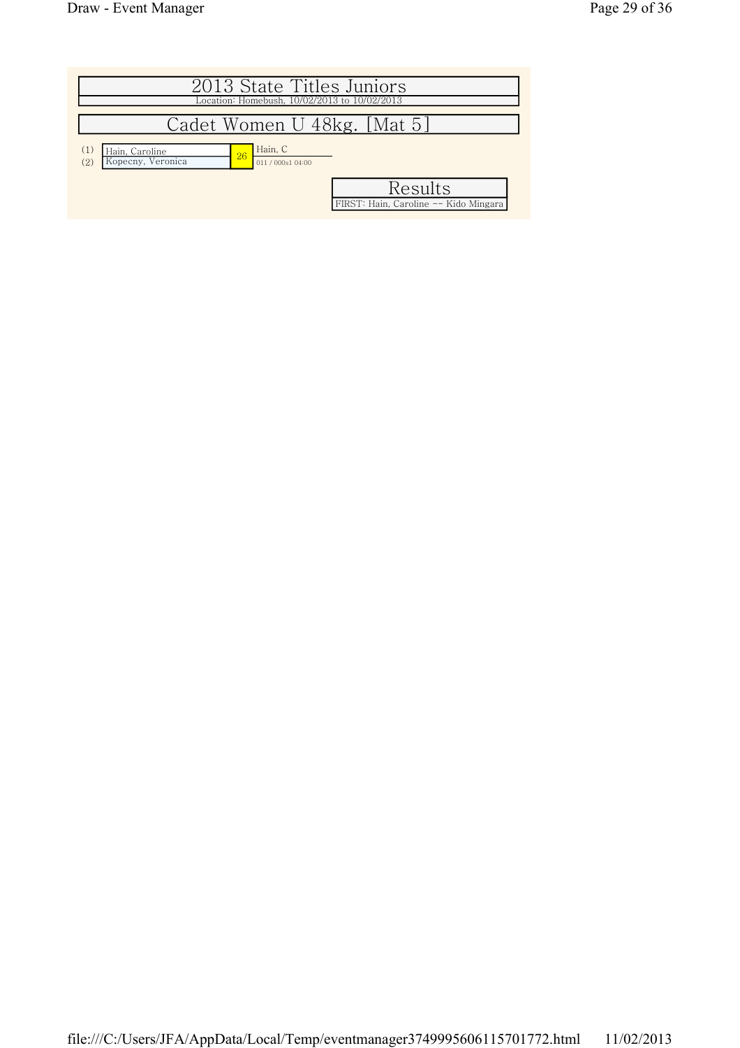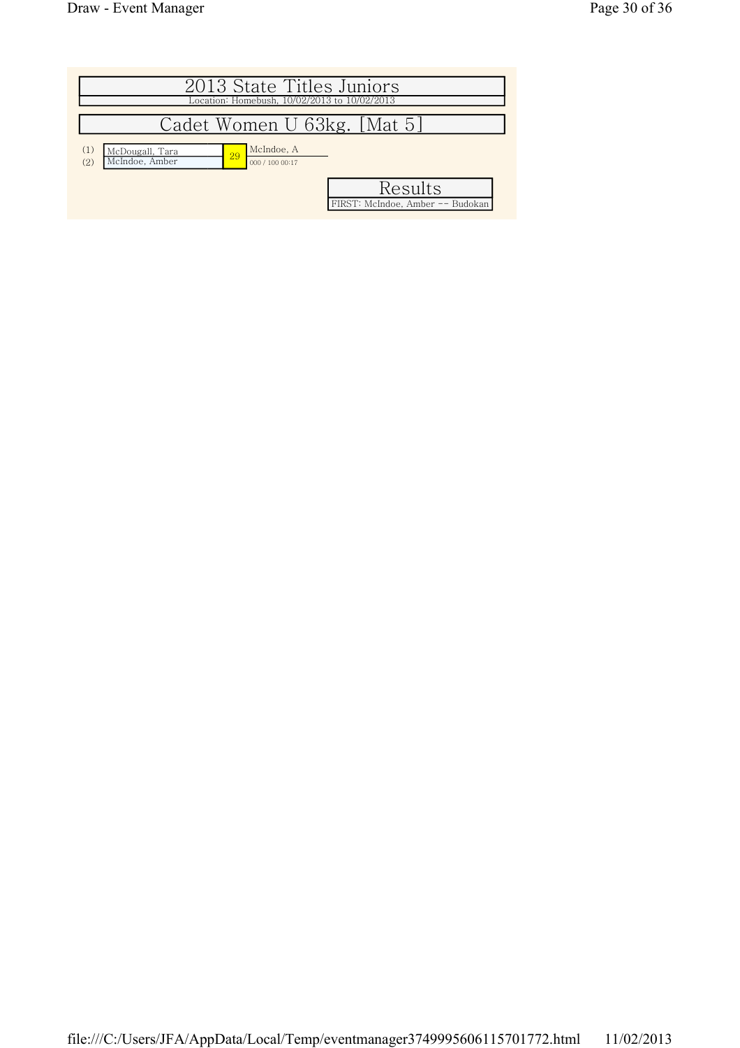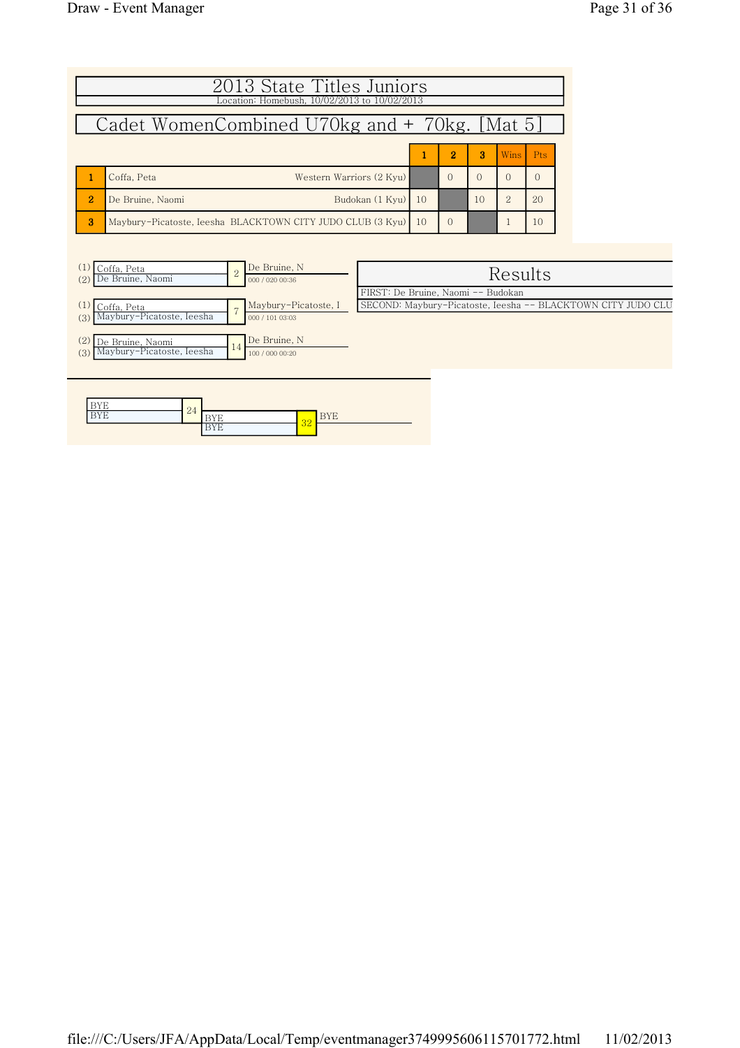|                                               | 2013 State Titles Juniors<br>Location: Homebush, 10/02/2013 to 10/02/2013 |              |          |          |                |          |  |  |  |  |  |
|-----------------------------------------------|---------------------------------------------------------------------------|--------------|----------|----------|----------------|----------|--|--|--|--|--|
| Cadet WomenCombined U70kg and + 70kg. [Mat 5] |                                                                           |              |          |          |                |          |  |  |  |  |  |
|                                               | $\overline{2}$<br>з<br><b>Wins</b><br><b>Pts</b>                          |              |          |          |                |          |  |  |  |  |  |
|                                               | Western Warriors (2 Kyu)<br>Coffa, Peta                                   |              | $\cap$   | $\Omega$ | $\Omega$       | $\Omega$ |  |  |  |  |  |
| $\overline{2}$                                | Budokan (1 Kyu)<br>De Bruine, Naomi                                       | $\vert$ 10   |          | 10       | $\overline{2}$ | 20       |  |  |  |  |  |
| 3                                             | Maybury-Picatoste, Ieesha BLACKTOWN CITY JUDO CLUB (3 Kyu)                | $ 10\rangle$ | $\Omega$ |          |                | 10       |  |  |  |  |  |

| Coffa, Peta<br>De Bruine, Naomi<br>(2)               | $\Omega$ | De Bruine, N<br>000 / 020 00:36         | Results                                                      |
|------------------------------------------------------|----------|-----------------------------------------|--------------------------------------------------------------|
|                                                      |          |                                         | FIRST: De Bruine, Naomi -- Budokan                           |
| Coffa, Peta<br>Maybury-Picatoste, Ieesha<br>(3)      |          | Maybury-Picatoste, I<br>000 / 101 03:03 | SECOND: Maybury-Picatoste, Ieesha -- BLACKTOWN CITY JUDO CLU |
| De Bruine, Naomi<br>Maybury-Picatoste, Ieesha<br>(3) | 14       | De Bruine, N<br>100 / 000 00:20         |                                                              |

| ----<br><b>.</b> | $\Omega$ |                        |    |          |
|------------------|----------|------------------------|----|----------|
| ----<br>.        | $-4$     | <b>.</b>               | ാറ | н<br>BYE |
|                  |          | ---<br>- 11 11 11<br>∸ | υZ |          |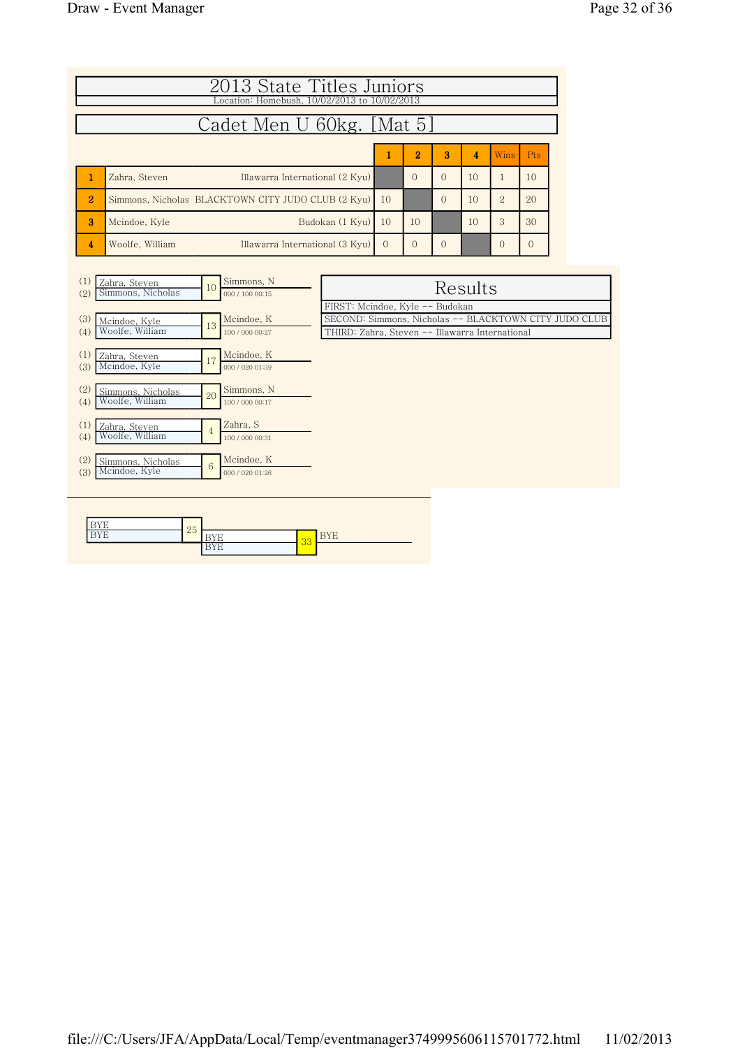|                                                                      | 2013 State Titles Juniors<br>Location: Homebush, 10/02/2013 to 10/02/2013 |          |          |          |    |                |          |  |  |  |  |
|----------------------------------------------------------------------|---------------------------------------------------------------------------|----------|----------|----------|----|----------------|----------|--|--|--|--|
| Cadet Men U 60kg. [Mat 5]                                            |                                                                           |          |          |          |    |                |          |  |  |  |  |
| $\overline{2}$<br>Ŕ<br>$\overline{\mathbf{A}}$<br><b>Wins</b><br>Pts |                                                                           |          |          |          |    |                |          |  |  |  |  |
|                                                                      | Illawarra International (2 Kyu)<br>Zahra, Steven                          |          | $\Omega$ | $\Omega$ | 10 |                | 10       |  |  |  |  |
| $\overline{2}$                                                       | Simmons, Nicholas, BLACKTOWN CITY JUDO CLUB (2 Kyu)                       | 10       |          | $\Omega$ | 10 | $\mathfrak{D}$ | 20       |  |  |  |  |
| 3                                                                    | Budokan (1 Kvu)<br>Mcindoe, Kyle                                          | 10       | 10       |          | 10 | 3              | 30       |  |  |  |  |
| 4                                                                    | Illawarra International (3 Kyu)<br>Woolfe, William                        | $\Omega$ | $\Omega$ | $\Omega$ |    | $\Omega$       | $\Omega$ |  |  |  |  |

| (1)<br>(2) | Zahra, Steven<br>Simmons, Nicholas   | 10 | Simmons, N<br>000 / 100 00:15 | Results                                                                                                                                     |
|------------|--------------------------------------|----|-------------------------------|---------------------------------------------------------------------------------------------------------------------------------------------|
| (3)<br>(4) | Mcindoe, Kyle<br>Woolfe, William     | 13 | Mcindoe, K<br>100 / 000 00:27 | FIRST: Mcindoe, Kyle -- Budokan<br>SECOND: Simmons, Nicholas -- BLACKTOWN CITY JUDO CLUB<br>THIRD: Zahra, Steven -- Illawarra International |
| (1)<br>(3) | Zahra, Steven<br>Mcindoe, Kyle       | 17 | Mcindoe, K<br>000 / 020 01:59 |                                                                                                                                             |
| (2)<br>(4) | Simmons, Nicholas<br>Woolfe, William | 20 | Simmons, N<br>100 / 000 00:17 |                                                                                                                                             |
| (1)<br>(4) | Zahra, Steven<br>Woolfe, William     | 4  | Zahra, S<br>100 / 000 00:31   |                                                                                                                                             |
| (2)<br>(3) | Simmons, Nicholas<br>Mcindoe, Kyle   | 6  | Mcindoe, K<br>000 / 020 01:26 |                                                                                                                                             |
|            |                                      |    |                               |                                                                                                                                             |

| $-$<br>. . | 25     |          |    |                  |
|------------|--------|----------|----|------------------|
| <b>.</b>   | $\sim$ |          | 33 | $ -$<br><u>.</u> |
|            |        | <b>.</b> |    |                  |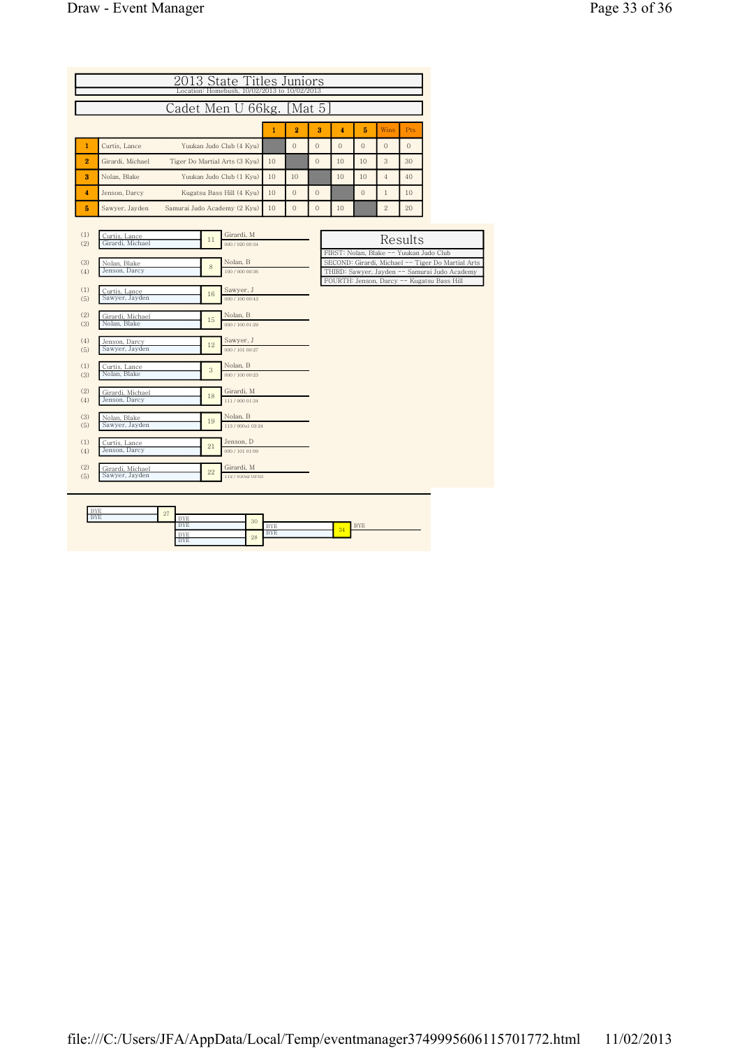|                                                                                                                                          | 2013 State Titles Juniors<br>Location: Homebush, 10/02/2013 to 10/02/2013                                                                                                                                                                                                                                                                                    |                                                                                                                                                                                                                                                                                                                                                                                    |       |                |                |                |                |                |          |                                                                                                                                                                                             |  |  |
|------------------------------------------------------------------------------------------------------------------------------------------|--------------------------------------------------------------------------------------------------------------------------------------------------------------------------------------------------------------------------------------------------------------------------------------------------------------------------------------------------------------|------------------------------------------------------------------------------------------------------------------------------------------------------------------------------------------------------------------------------------------------------------------------------------------------------------------------------------------------------------------------------------|-------|----------------|----------------|----------------|----------------|----------------|----------|---------------------------------------------------------------------------------------------------------------------------------------------------------------------------------------------|--|--|
|                                                                                                                                          |                                                                                                                                                                                                                                                                                                                                                              | Cadet Men U                                                                                                                                                                                                                                                                                                                                                                        | 66kg. |                | Mat 5          |                |                |                |          |                                                                                                                                                                                             |  |  |
|                                                                                                                                          | $\mathbf{1}$<br>2<br>3<br>5<br>Wins<br>4<br>Pts                                                                                                                                                                                                                                                                                                              |                                                                                                                                                                                                                                                                                                                                                                                    |       |                |                |                |                |                |          |                                                                                                                                                                                             |  |  |
| $\mathbf{1}$                                                                                                                             | Curtis, Lance                                                                                                                                                                                                                                                                                                                                                | Yuukan Judo Club (4 Kyu)                                                                                                                                                                                                                                                                                                                                                           |       | $\overline{0}$ | $\overline{0}$ | $\overline{0}$ | $\overline{O}$ | $\mathbf{0}$   | $\Omega$ |                                                                                                                                                                                             |  |  |
| 2                                                                                                                                        | Girardi, Michael                                                                                                                                                                                                                                                                                                                                             | Tiger Do Martial Arts (3 Kyu)                                                                                                                                                                                                                                                                                                                                                      | 10    |                | $\overline{O}$ | 10             | 10             | 3              | 30       |                                                                                                                                                                                             |  |  |
| 3                                                                                                                                        | Nolan, Blake                                                                                                                                                                                                                                                                                                                                                 | Yuukan Judo Club (1 Kyu)                                                                                                                                                                                                                                                                                                                                                           | 10    | 10             |                | 10             | 10             | $\overline{4}$ | 40       |                                                                                                                                                                                             |  |  |
| $\overline{\mathbf{4}}$                                                                                                                  | Jenson, Darcy                                                                                                                                                                                                                                                                                                                                                | Kugatsu Bass Hill (4 Kyu)                                                                                                                                                                                                                                                                                                                                                          | 10    | $\overline{0}$ | $\overline{0}$ |                | $\overline{0}$ | $\,1$          | 10       |                                                                                                                                                                                             |  |  |
| 5                                                                                                                                        | Sawyer, Jayden                                                                                                                                                                                                                                                                                                                                               | Samurai Judo Academy (2 Kyu)                                                                                                                                                                                                                                                                                                                                                       | 10    | $\overline{0}$ | $\overline{0}$ | 10             |                | $\overline{2}$ | 20       |                                                                                                                                                                                             |  |  |
| (1)<br>(2)<br>(3)<br>(4)<br>(1)<br>(5)<br>(2)<br>(3)<br>(4)<br>(5)<br>(1)<br>(3)<br>(2)<br>(4)<br>(3)<br>(5)<br>(1)<br>(4)<br>(2)<br>(5) | Curtis, Lance<br>Girardi, Michael<br>Nolan, Blake<br>Jenson, Darcy<br>Curtis, Lance<br>Sawyer, Jayden<br>Girardi, Michael<br>Nolan, Blake<br>Jenson, Darcy<br>Sawyer, Jayden<br>Curtis, Lance<br>Nolan, Blake<br>Girardi, Michael<br>Jenson, Darcy<br>Nolan, Blake<br>Sawyer, Jayden<br>Curtis, Lance<br>Jenson, Darcy<br>Girardi, Michael<br>Sawyer, Jayden | Girardi, M<br>11<br>000 / 020 00:34<br>Nolan, B<br>8<br>100 / 000 00:36<br>Sawyer, J<br>16<br>000 / 100 00:43<br>Nolan, B<br>15<br>000 / 100 01:29<br>Sawyer, J<br>12<br>000 / 101 00:27<br>Nolan, B<br>3<br>000 / 100 00:23<br>Girardi, M<br>18<br>111/000 01:34<br>Nolan, B<br>19<br>113/000s103:24<br>Jenson, D<br>21<br>000 / 101 01:09<br>Girardi, M<br>22<br>112/010s2 03:03 |       |                |                |                |                |                | Results  | FIRST: Nolan, Blake -- Yuukan Judo Club<br>SECOND: Girardi, Michael -- Tiger Do Martial Arts<br>THIRD: Sawyer, Jayden -- Samurai Judo Academy<br>FOURTH: Jenson, Darcy -- Kugatsu Bass Hill |  |  |

| <b>BYE</b> | 27     |            |    |                   |            |            |
|------------|--------|------------|----|-------------------|------------|------------|
| <b>BYE</b> | $\sim$ | <b>BYE</b> | 30 |                   |            |            |
|            |        | <b>BYE</b> |    | <b>RVF</b><br>BYE | $\sqrt{2}$ | <b>BYE</b> |
|            |        | <b>BYE</b> | 28 | <b>BYE</b>        | -04        |            |
|            |        | <b>BYE</b> |    |                   |            |            |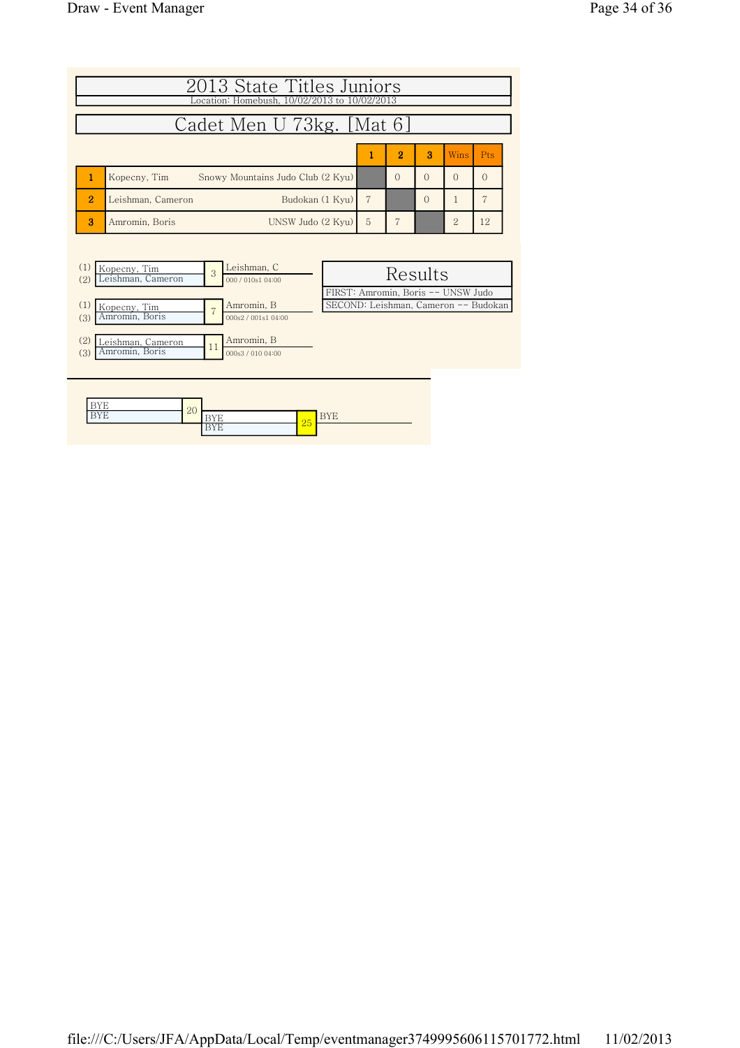|                             | 2013 State Titles Juniors<br>Location: Homebush, 10/02/2013 to 10/02/2013 |   |                |   |                             |            |  |
|-----------------------------|---------------------------------------------------------------------------|---|----------------|---|-----------------------------|------------|--|
| Cadet Men U 73kg. [Mat 6]   |                                                                           |   |                |   |                             |            |  |
|                             |                                                                           |   | $\overline{2}$ | 3 | <b>Wins</b>                 | <b>Pts</b> |  |
|                             | Snowy Mountains Judo Club (2 Kyu)<br>Kopecny, Tim                         |   | $\cap$         |   |                             | $\Omega$   |  |
| $\mathcal{D}_{\mathcal{L}}$ | Budokan (1 Kyu)<br>Leishman, Cameron                                      |   |                | ∩ |                             |            |  |
| я                           | UNSW Judo (2 Kyu)<br>Amromin, Boris                                       | 5 |                |   | $\mathcal{D}_{\mathcal{L}}$ | 12         |  |



| ---              | ററ         |                      |    |          |  |  |  |
|------------------|------------|----------------------|----|----------|--|--|--|
| ----<br><b>.</b> | $\Delta U$ | . .<br><b>.</b>      | 25 | <u>.</u> |  |  |  |
|                  |            | <b>.</b><br><b>.</b> |    |          |  |  |  |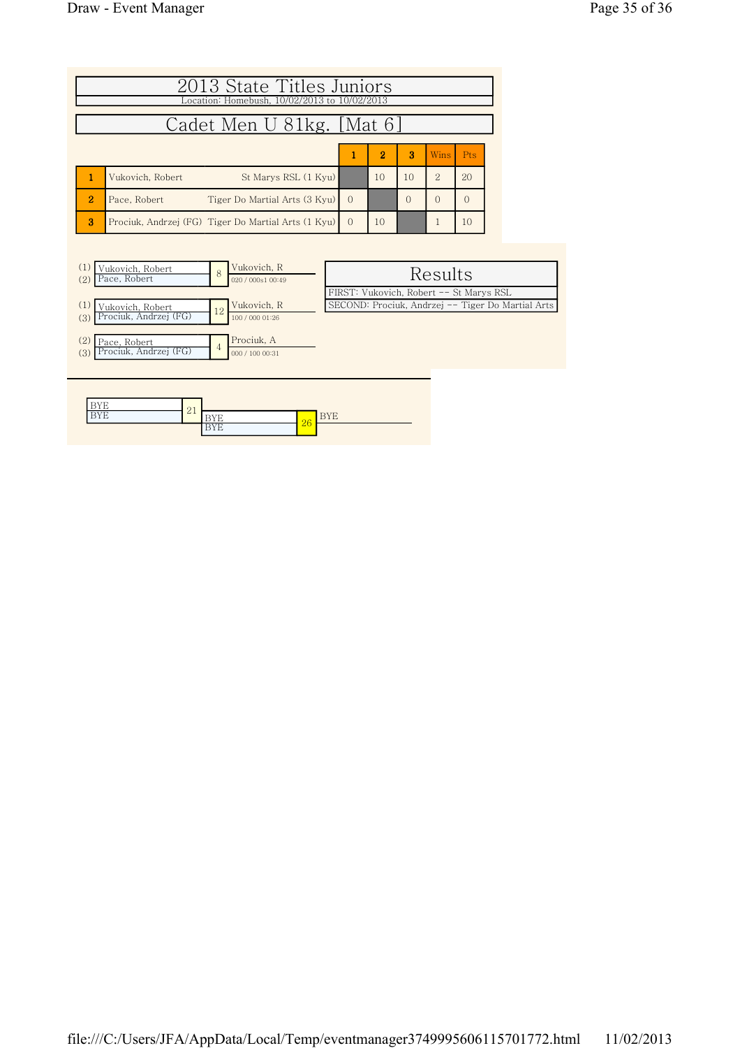|                | 2013 State Titles Juniors<br>Location: Homebush, 10/02/2013 to 10/02/2013 |          |                |           |          |     |  |  |  |
|----------------|---------------------------------------------------------------------------|----------|----------------|-----------|----------|-----|--|--|--|
|                | Cadet Men U 81kg. [Mat 6]                                                 |          |                |           |          |     |  |  |  |
|                |                                                                           |          | $\overline{2}$ | 3         | Wins     | Pts |  |  |  |
|                | St Marys RSL (1 Kyu)<br>Vukovich, Robert                                  |          | 10             | 10        | 2        | 20  |  |  |  |
| $\overline{2}$ | Tiger Do Martial Arts (3 Kyu)<br>Pace, Robert                             | $\Omega$ |                | $\bigcap$ | $\Omega$ |     |  |  |  |
| 3              | Prociuk, Andrzej (FG) Tiger Do Martial Arts (1 Kyu)                       | $\Omega$ | 10             |           |          | 10  |  |  |  |



| ---           | $\Omega$ <sup>+</sup> |                 |    |          |  |  |  |  |
|---------------|-----------------------|-----------------|----|----------|--|--|--|--|
| ----<br><br>- | $\sim$ 1              | . .<br><b>.</b> | 5e | . .<br>∸ |  |  |  |  |
|               |                       | ---<br><b>.</b> | ∠∪ |          |  |  |  |  |